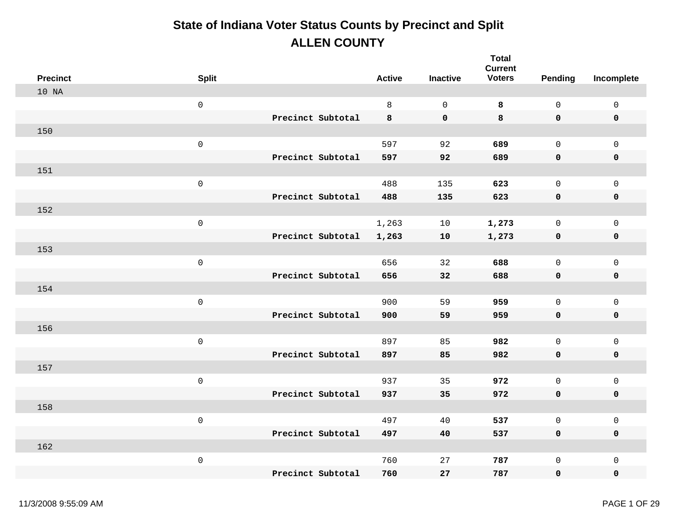| <b>Precinct</b> | <b>Split</b> |                   | <b>Active</b> | <b>Inactive</b> | Total<br><b>Current</b><br><b>Voters</b> | <b>Pending</b>      | Incomplete          |
|-----------------|--------------|-------------------|---------------|-----------------|------------------------------------------|---------------------|---------------------|
| 10 NA           |              |                   |               |                 |                                          |                     |                     |
|                 | $\mathsf 0$  |                   | 8             | $\mathsf 0$     | 8                                        | $\mathsf{O}\xspace$ | $\mathsf 0$         |
|                 |              | Precinct Subtotal | 8             | $\mathbf 0$     | 8                                        | 0                   | $\mathbf 0$         |
| 150             |              |                   |               |                 |                                          |                     |                     |
|                 | $\mathsf 0$  |                   | 597           | 92              | 689                                      | $\mathsf{O}\xspace$ | $\mathsf{O}\xspace$ |
|                 |              | Precinct Subtotal | 597           | 92              | 689                                      | $\mathbf 0$         | $\mathbf 0$         |
| 151             |              |                   |               |                 |                                          |                     |                     |
|                 | $\mathsf 0$  |                   | 488           | 135             | 623                                      | $\mathsf 0$         | $\mathsf 0$         |
|                 |              | Precinct Subtotal | 488           | 135             | 623                                      | $\mathbf 0$         | $\mathbf 0$         |
| 152             |              |                   |               |                 |                                          |                     |                     |
|                 | $\mathsf 0$  |                   | 1,263         | 10              | 1,273                                    | $\mathsf{O}\xspace$ | $\mathsf 0$         |
|                 |              | Precinct Subtotal | 1,263         | 10              | 1,273                                    | 0                   | $\mathbf 0$         |
| 153             |              |                   |               |                 |                                          |                     |                     |
|                 | $\mathsf 0$  |                   | 656           | 32              | 688                                      | $\mathsf{O}\xspace$ | $\mathsf 0$         |
|                 |              | Precinct Subtotal | 656           | 32              | 688                                      | 0                   | $\mathbf 0$         |
| 154             |              |                   |               |                 |                                          |                     |                     |
|                 | $\mathsf 0$  |                   | 900           | 59              | 959                                      | $\mathsf{O}$        | $\mathsf 0$         |
|                 |              | Precinct Subtotal | 900           | 59              | 959                                      | $\mathbf 0$         | $\mathbf 0$         |
| 156             |              |                   |               |                 |                                          |                     |                     |
|                 | $\mathsf 0$  |                   | 897           | 85              | 982                                      | $\mathbf 0$         | $\mathsf 0$         |
|                 |              | Precinct Subtotal | 897           | 85              | 982                                      | 0                   | $\pmb{0}$           |
| 157             |              |                   |               |                 |                                          |                     |                     |
|                 | $\mathsf 0$  |                   | 937           | 35              | 972                                      | $\mathbf 0$         | $\mathsf{O}$        |
|                 |              | Precinct Subtotal | 937           | 35              | 972                                      | $\mathbf 0$         | $\pmb{0}$           |
| 158             |              |                   |               |                 |                                          |                     |                     |
|                 | $\mathsf 0$  |                   | 497           | 40              | 537                                      | $\mathsf{O}$        | $\mathsf{O}$        |
|                 |              | Precinct Subtotal | 497           | 40              | 537                                      | 0                   | $\mathbf 0$         |
| 162             |              |                   |               |                 |                                          |                     |                     |
|                 | $\mathsf 0$  |                   | 760           | 27              | 787                                      | $\mathsf{O}\xspace$ | $\mathsf{O}\xspace$ |
|                 |              | Precinct Subtotal | 760           | ${\bf 27}$      | 787                                      | 0                   | $\pmb{0}$           |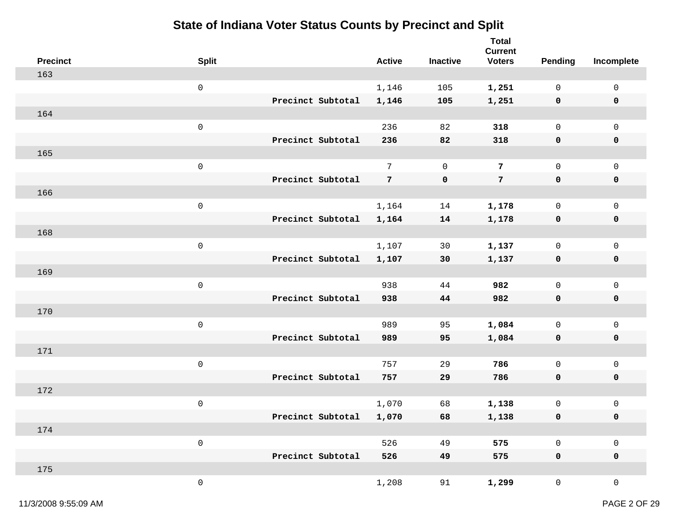| <b>Precinct</b> | <b>Split</b>        |                   | <b>Active</b>   | <b>Inactive</b> | <b>Total</b><br><b>Current</b><br><b>Voters</b> | Pending             | Incomplete          |
|-----------------|---------------------|-------------------|-----------------|-----------------|-------------------------------------------------|---------------------|---------------------|
| 163             |                     |                   |                 |                 |                                                 |                     |                     |
|                 | $\mathsf{O}$        |                   | 1,146           | 105             | 1,251                                           | $\mathsf{O}$        | $\mathsf{O}\xspace$ |
|                 |                     | Precinct Subtotal | 1,146           | 105             | 1,251                                           | $\mathbf 0$         | 0                   |
| 164             |                     |                   |                 |                 |                                                 |                     |                     |
|                 | $\mathsf{O}$        |                   | 236             | 82              | 318                                             | $\mathsf{O}$        | $\mathsf{O}\xspace$ |
|                 |                     | Precinct Subtotal | 236             | 82              | 318                                             | 0                   | 0                   |
| 165             |                     |                   |                 |                 |                                                 |                     |                     |
|                 | $\mathsf 0$         |                   | $7\phantom{.}$  | $\overline{0}$  | $\overline{7}$                                  | $\mathsf{O}$        | 0                   |
|                 |                     | Precinct Subtotal | $7\overline{ }$ | $\pmb{0}$       | $7\phantom{.0}$                                 | $\mathbf 0$         | $\mathbf 0$         |
| 166             |                     |                   |                 |                 |                                                 |                     |                     |
|                 | $\mathsf{O}$        |                   | 1,164           | 14              | 1,178                                           | $\mathsf{O}\xspace$ | $\mathsf{O}\xspace$ |
|                 |                     | Precinct Subtotal | 1,164           | 14              | 1,178                                           | 0                   | 0                   |
| 168             |                     |                   |                 |                 |                                                 |                     |                     |
|                 | $\mathsf 0$         |                   | 1,107           | 30              | 1,137                                           | 0                   | $\mathsf{O}\xspace$ |
|                 |                     | Precinct Subtotal | 1,107           | 30              | 1,137                                           | 0                   | 0                   |
| 169             |                     |                   |                 |                 |                                                 |                     |                     |
|                 | $\mathsf{O}$        |                   | 938             | 44              | 982                                             | $\mathbf 0$         | 0                   |
|                 |                     | Precinct Subtotal | 938             | 44              | 982                                             | 0                   | $\mathbf 0$         |
| 170             |                     |                   |                 |                 |                                                 |                     |                     |
|                 | $\mathsf{O}$        |                   | 989             | 95              | 1,084                                           | $\mathsf 0$         | $\mathsf{O}\xspace$ |
|                 |                     | Precinct Subtotal | 989             | 95              | 1,084                                           | 0                   | 0                   |
| 171             |                     |                   |                 |                 |                                                 |                     |                     |
|                 | $\mathsf{O}$        |                   | 757             | 29              | 786                                             | $\mathsf{O}$        | $\mathsf{O}\xspace$ |
|                 |                     | Precinct Subtotal | 757             | 29              | 786                                             | 0                   | 0                   |
| 172             |                     |                   |                 |                 |                                                 |                     |                     |
|                 | $\mathsf{O}$        | Precinct Subtotal | 1,070           | 68              | 1,138                                           | 0                   | 0                   |
| 174             |                     |                   | 1,070           | 68              | 1,138                                           | 0                   | 0                   |
|                 | $\mathsf{O}\xspace$ |                   | 526             | 49              | 575                                             | $\mathsf{O}\xspace$ | $\mathsf{O}\xspace$ |
|                 |                     | Precinct Subtotal | 526             | 49              | 575                                             | $\mathbf 0$         | $\mathbf 0$         |
| 175             |                     |                   |                 |                 |                                                 |                     |                     |
|                 | $\mathsf{O}\xspace$ |                   | 1,208           | 91              | 1,299                                           | $\overline{0}$      | $\mathsf{O}\xspace$ |
|                 |                     |                   |                 |                 |                                                 |                     |                     |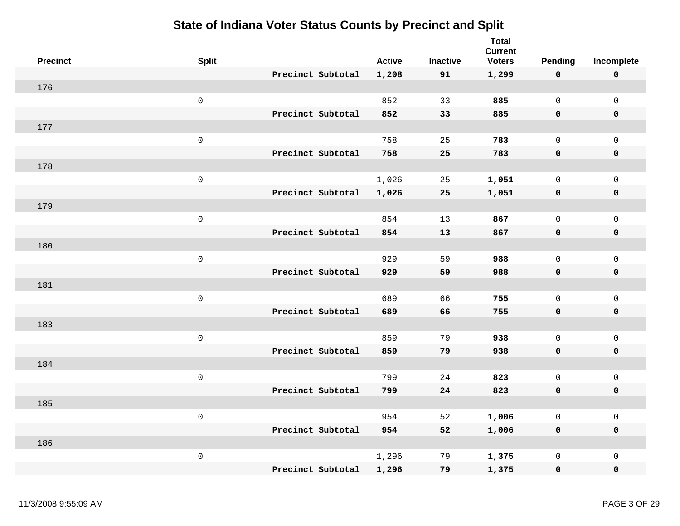| <b>Precinct</b> | <b>Split</b>        |                   | <b>Active</b> | <b>Inactive</b> | <b>Total</b><br><b>Current</b><br><b>Voters</b> | Pending             | Incomplete          |
|-----------------|---------------------|-------------------|---------------|-----------------|-------------------------------------------------|---------------------|---------------------|
|                 |                     | Precinct Subtotal | 1,208         | 91              | 1,299                                           | 0                   | $\mathbf 0$         |
| 176             |                     |                   |               |                 |                                                 |                     |                     |
|                 | $\mathsf{O}\xspace$ |                   | 852           | 33              | 885                                             | $\mathsf{O}$        | $\mathsf{O}\xspace$ |
|                 |                     | Precinct Subtotal | 852           | 33              | 885                                             | 0                   | $\mathbf 0$         |
| 177             |                     |                   |               |                 |                                                 |                     |                     |
|                 | $\mathsf{O}\xspace$ |                   | 758           | 25              | 783                                             | $\mathbf 0$         | $\mathsf{O}\xspace$ |
|                 |                     | Precinct Subtotal | 758           | 25              | 783                                             | $\mathbf 0$         | $\pmb{0}$           |
| 178             |                     |                   |               |                 |                                                 |                     |                     |
|                 | $\mathsf 0$         |                   | 1,026         | 25              | 1,051                                           | $\mathsf{O}$        | $\mathsf{O}$        |
|                 |                     | Precinct Subtotal | 1,026         | 25              | 1,051                                           | 0                   | 0                   |
| 179             |                     |                   |               |                 |                                                 |                     |                     |
|                 | $\mathbf 0$         |                   | 854           | 13              | 867                                             | $\mathbf 0$         | $\mathsf{O}\xspace$ |
|                 |                     | Precinct Subtotal | 854           | 13              | 867                                             | 0                   | 0                   |
| 180             |                     |                   |               |                 |                                                 |                     |                     |
|                 | $\mathsf{O}\xspace$ |                   | 929           | 59              | 988                                             | $\mathsf{O}\xspace$ | $\mathsf{O}\xspace$ |
|                 |                     | Precinct Subtotal | 929           | 59              | 988                                             | 0                   |                     |
| 181             |                     |                   |               |                 |                                                 |                     | 0                   |
|                 | $\mathsf 0$         |                   | 689           | 66              | 755                                             | $\mathbf 0$         | $\mathsf{O}\xspace$ |
|                 |                     | Precinct Subtotal |               |                 |                                                 |                     | $\mathbf 0$         |
| 183             |                     |                   | 689           | 66              | 755                                             | 0                   |                     |
|                 | $\mathsf 0$         |                   | 859           | 79              | 938                                             |                     |                     |
|                 |                     | Precinct Subtotal | 859           | 79              | 938                                             | $\mathbf 0$         | $\mathsf{O}$        |
| 184             |                     |                   |               |                 |                                                 | 0                   | $\mathbf 0$         |
|                 |                     |                   |               |                 | 823                                             |                     |                     |
|                 | $\mathbf 0$         |                   | 799           | 24              |                                                 | $\mathbf 0$         | $\mathbf 0$         |
| 185             |                     | Precinct Subtotal | 799           | 24              | 823                                             | 0                   | $\mathbf 0$         |
|                 |                     |                   |               |                 |                                                 |                     |                     |
|                 | $\mathsf{O}\xspace$ |                   | 954           | 52              | 1,006                                           | $\mathsf{O}\xspace$ | $\mathsf{O}\xspace$ |
|                 |                     | Precinct Subtotal | 954           | 52              | 1,006                                           | 0                   | $\mathbf 0$         |
| 186             |                     |                   |               |                 |                                                 |                     |                     |
|                 | $\mathsf{O}\xspace$ |                   | 1,296         | 79              | 1,375                                           | $\mathbf 0$         | $\mathsf{O}\xspace$ |
|                 |                     | Precinct Subtotal | 1,296         | 79              | 1,375                                           | 0                   | $\mathbf 0$         |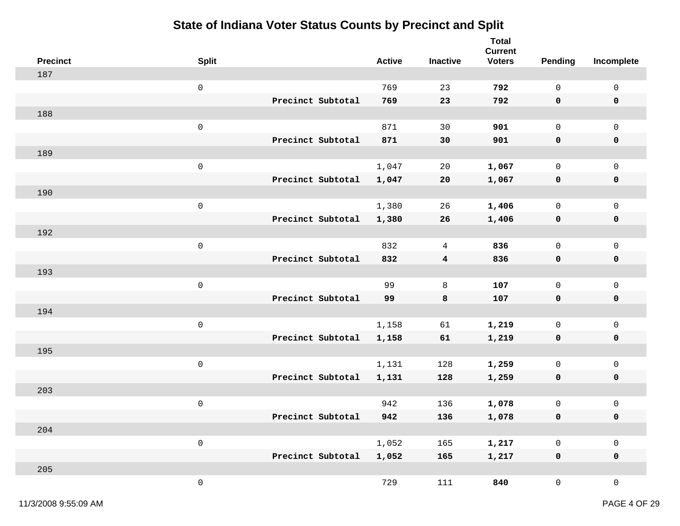| <b>Precinct</b> | <b>Split</b>        |                   | <b>Active</b> | <b>Inactive</b>         | <b>Total</b><br><b>Current</b><br><b>Voters</b> | <b>Pending</b>      | Incomplete          |
|-----------------|---------------------|-------------------|---------------|-------------------------|-------------------------------------------------|---------------------|---------------------|
| 187             |                     |                   |               |                         |                                                 |                     |                     |
|                 | $\mathbf 0$         |                   | 769           | 23                      | 792                                             | $\mathsf{O}\xspace$ | $\mathsf{O}\xspace$ |
|                 |                     | Precinct Subtotal | 769           | 23                      | 792                                             | 0                   | 0                   |
| 188             |                     |                   |               |                         |                                                 |                     |                     |
|                 | $\mathbf 0$         |                   | 871           | 30                      | 901                                             | $\mathsf{O}$        | $\mathsf{O}\xspace$ |
|                 |                     | Precinct Subtotal | 871           | 30                      | 901                                             | 0                   | $\mathbf 0$         |
| 189             |                     |                   |               |                         |                                                 |                     |                     |
|                 | $\mathbf 0$         |                   | 1,047         | 20                      | 1,067                                           | 0                   | $\mathsf{O}\xspace$ |
|                 |                     | Precinct Subtotal | 1,047         | 20                      | 1,067                                           | 0                   | $\mathbf 0$         |
| 190             |                     |                   |               |                         |                                                 |                     |                     |
|                 | $\mathsf 0$         |                   | 1,380         | 26                      | 1,406                                           | $\mathsf{O}\xspace$ | $\mathsf 0$         |
|                 |                     | Precinct Subtotal | 1,380         | 26                      | 1,406                                           | 0                   | 0                   |
| 192             |                     |                   |               |                         |                                                 |                     |                     |
|                 | $\mathbf 0$         |                   | 832           | 4                       | 836                                             | 0                   | $\mathsf 0$         |
|                 |                     | Precinct Subtotal | 832           | $\overline{\mathbf{4}}$ | 836                                             | 0                   | $\mathbf 0$         |
| 193             |                     |                   |               |                         |                                                 |                     |                     |
|                 | $\mathbf 0$         |                   | 99            | 8                       | 107                                             | $\mathsf{O}$        | $\mathsf 0$         |
|                 |                     | Precinct Subtotal | 99            | 8                       | 107                                             | 0                   | $\mathbf 0$         |
| 194             |                     |                   |               |                         |                                                 |                     |                     |
|                 | $\mathsf 0$         |                   | 1,158         | 61                      | 1,219                                           | $\mathsf{O}\xspace$ | $\mathsf{O}\xspace$ |
|                 |                     | Precinct Subtotal | 1,158         | 61                      | 1,219                                           | 0                   | $\pmb{0}$           |
| 195             |                     |                   |               |                         |                                                 |                     |                     |
|                 | $\mathsf 0$         |                   | 1,131         | 128                     | 1,259                                           | $\mathsf{O}$        | $\mathsf 0$         |
|                 |                     | Precinct Subtotal | 1,131         | 128                     | 1,259                                           | 0                   | $\mathbf 0$         |
| 203             |                     |                   |               |                         |                                                 |                     |                     |
|                 | $\mathsf 0$         |                   | 942           | 136                     | 1,078                                           | 0                   | $\mathsf 0$         |
|                 |                     | Precinct Subtotal | 942           | 136                     | 1,078                                           | 0                   | 0                   |
| 204             |                     |                   |               |                         |                                                 |                     |                     |
|                 | $\mathsf 0$         |                   | 1,052         | 165                     | 1,217                                           | $\mathsf{O}\xspace$ | $\mathsf 0$         |
|                 |                     | Precinct Subtotal | 1,052         | 165                     | 1,217                                           | $\mathbf 0$         | $\mathbf 0$         |
| 205             |                     |                   |               |                         |                                                 |                     |                     |
|                 | $\mathsf{O}\xspace$ |                   | 729           | 111                     | 840                                             | $\overline{0}$      | $\mathsf{O}\xspace$ |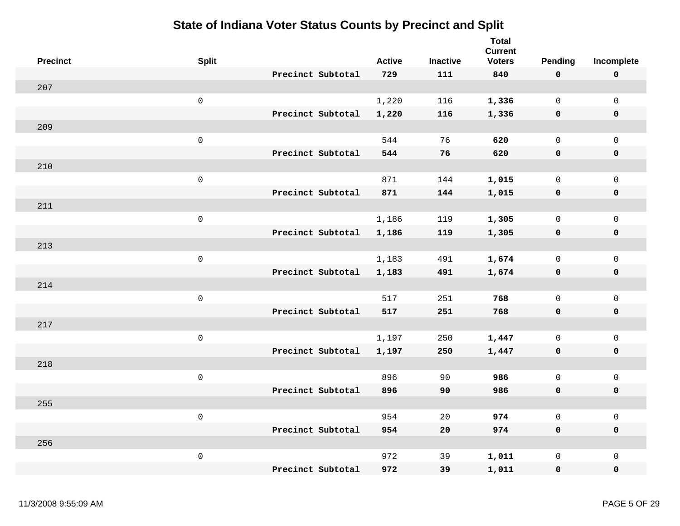| <b>Precinct</b> | <b>Split</b>        |                   | <b>Active</b> | <b>Inactive</b> | <b>Total</b><br><b>Current</b><br><b>Voters</b> | Pending             | Incomplete          |
|-----------------|---------------------|-------------------|---------------|-----------------|-------------------------------------------------|---------------------|---------------------|
|                 |                     | Precinct Subtotal | 729           | 111             | 840                                             | $\mathbf 0$         | $\mathbf 0$         |
| 207             |                     |                   |               |                 |                                                 |                     |                     |
|                 | $\mathsf{O}\xspace$ |                   | 1,220         | 116             | 1,336                                           | $\mathsf{O}$        | $\mathsf{O}\xspace$ |
|                 |                     | Precinct Subtotal | 1,220         | 116             | 1,336                                           | 0                   | 0                   |
| 209             |                     |                   |               |                 |                                                 |                     |                     |
|                 | $\mathsf{O}\xspace$ |                   | 544           | 76              | 620                                             | $\mathbf 0$         | $\mathsf{O}$        |
|                 |                     | Precinct Subtotal | 544           | 76              | 620                                             | $\mathbf 0$         | $\mathbf 0$         |
| 210             |                     |                   |               |                 |                                                 |                     |                     |
|                 | $\mathsf{O}\xspace$ |                   | 871           | 144             | 1,015                                           | $\mathbf 0$         | $\mathsf{O}$        |
|                 |                     | Precinct Subtotal | 871           | 144             | 1,015                                           | 0                   | $\mathbf 0$         |
| 211             |                     |                   |               |                 |                                                 |                     |                     |
|                 | $\mathsf{O}\xspace$ |                   | 1,186         | 119             | 1,305                                           | $\mathsf{O}$        | $\mathsf{O}\xspace$ |
|                 |                     | Precinct Subtotal | 1,186         | 119             | 1,305                                           | 0                   | $\pmb{0}$           |
| 213             |                     |                   |               |                 |                                                 |                     |                     |
|                 | $\mathsf{O}\xspace$ |                   | 1,183         | 491             | 1,674                                           | $\mathsf{O}\xspace$ | $\mathsf{O}\xspace$ |
|                 |                     | Precinct Subtotal | 1,183         | 491             | 1,674                                           | $\mathbf 0$         | $\pmb{0}$           |
| 214             |                     |                   |               |                 |                                                 |                     |                     |
|                 | $\mathsf{O}\xspace$ |                   | 517           | 251             | 768                                             | $\mathsf{O}\xspace$ | $\mathsf{O}\xspace$ |
|                 |                     | Precinct Subtotal | 517           | 251             | 768                                             | $\mathbf 0$         | $\mathbf 0$         |
| 217             |                     |                   |               |                 |                                                 |                     |                     |
|                 | $\mathsf{O}\xspace$ |                   | 1,197         | 250             | 1,447                                           | $\mathbf 0$         | $\mathsf{O}$        |
|                 |                     | Precinct Subtotal | 1,197         | 250             | 1,447                                           | $\mathbf 0$         | $\mathbf 0$         |
| 218             |                     |                   |               |                 |                                                 |                     |                     |
|                 | $\mathsf{O}\xspace$ |                   | 896           | 90              | 986                                             | $\mathsf{O}$        | $\mathsf{O}\xspace$ |
|                 |                     | Precinct Subtotal | 896           | 90              | 986                                             | 0                   | 0                   |
| 255             |                     |                   |               |                 |                                                 |                     |                     |
|                 | $\mathsf{O}\xspace$ |                   | 954           | 20              | 974                                             | $\mathsf{O}\xspace$ | $\mathsf{O}\xspace$ |
|                 |                     | Precinct Subtotal | 954           | 20              | 974                                             | $\mathbf 0$         | $\mathbf 0$         |
| 256             |                     |                   |               |                 |                                                 |                     |                     |
|                 | $\mathsf{O}\xspace$ |                   | 972           | 39              | 1,011                                           | $\mathsf{O}\xspace$ | $\mathsf{O}\xspace$ |
|                 |                     | Precinct Subtotal | 972           | 39              | 1,011                                           | 0                   | 0                   |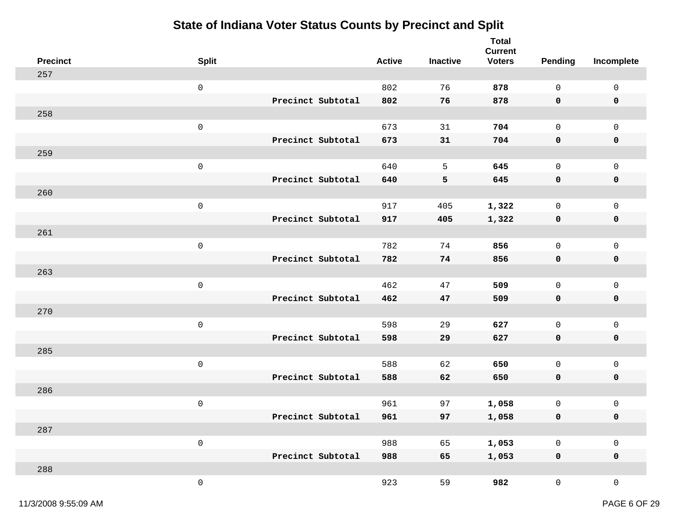| <b>Precinct</b> | <b>Split</b>        |                   |                   | <b>Active</b> | <b>Inactive</b> | <b>Total</b><br><b>Current</b><br><b>Voters</b> | <b>Pending</b>      | Incomplete                 |
|-----------------|---------------------|-------------------|-------------------|---------------|-----------------|-------------------------------------------------|---------------------|----------------------------|
| 257             |                     |                   |                   |               |                 |                                                 |                     |                            |
|                 | $\mathsf{O}\xspace$ |                   |                   | 802           | 76              | 878                                             | $\mathsf{O}$        | $\mathsf 0$                |
|                 |                     |                   | Precinct Subtotal | 802           | 76              | 878                                             | 0                   | $\pmb{0}$                  |
| 258             |                     |                   |                   |               |                 |                                                 |                     |                            |
|                 | $\mathsf{O}\xspace$ |                   |                   | 673           | 31              | 704                                             | $\mathsf{O}$        | $\mathsf{O}\xspace$        |
|                 |                     |                   | Precinct Subtotal | 673           | 31              | 704                                             | 0                   | $\mathbf 0$                |
| 259             |                     |                   |                   |               |                 |                                                 |                     |                            |
|                 | $\mathsf{O}\xspace$ |                   |                   | 640           | 5               | 645                                             | 0                   | $\mathsf{O}\xspace$        |
|                 |                     |                   | Precinct Subtotal | 640           | 5               | 645                                             | 0                   | $\mathbf 0$                |
| 260             |                     |                   |                   |               |                 |                                                 |                     |                            |
|                 | $\mathsf{O}\xspace$ |                   |                   | 917           | 405             | 1,322                                           | $\mathsf{O}$        | $\mathsf 0$                |
|                 |                     |                   | Precinct Subtotal | 917           | 405             | 1,322                                           | 0                   | $\pmb{0}$                  |
| 261             |                     |                   |                   |               |                 |                                                 |                     |                            |
|                 | $\mathsf{O}\xspace$ |                   |                   | 782           | 74              | 856                                             | 0                   | $\mathsf 0$                |
|                 |                     | Precinct Subtotal |                   | 782           | 74              | 856                                             | 0                   | $\mathbf 0$                |
| 263             |                     |                   |                   |               |                 |                                                 |                     |                            |
|                 | $\mathsf{O}\xspace$ |                   |                   | 462           | 47              | 509                                             | $\mathsf{O}$        | $\mathsf{O}\xspace$        |
|                 |                     | Precinct Subtotal |                   | 462           | 47              | 509                                             | 0                   | $\mathbf 0$                |
| 270             |                     |                   |                   |               |                 |                                                 |                     |                            |
|                 | $\mathsf{O}\xspace$ |                   |                   | 598           | 29              | 627                                             | $\mathsf{O}\xspace$ | $\mathsf 0$                |
|                 |                     |                   | Precinct Subtotal | 598           | 29              | 627                                             | 0                   | $\pmb{0}$                  |
| 285             |                     |                   |                   |               |                 |                                                 |                     |                            |
|                 | $\mathsf{O}\xspace$ |                   |                   | 588           | 62              | 650                                             | $\mathsf{O}$        | $\mathsf{O}\xspace$        |
|                 |                     |                   | Precinct Subtotal | 588           | 62              | 650                                             | 0                   | $\mathbf 0$                |
| 286             |                     |                   |                   |               |                 |                                                 |                     |                            |
|                 | $\mathsf{O}\xspace$ |                   | Precinct Subtotal | 961           | 97              | 1,058                                           | 0                   | $\mathsf 0$                |
|                 |                     |                   |                   | 961           | 97              | 1,058                                           | 0                   | 0                          |
| 287             | $\mathsf{O}\xspace$ |                   |                   | 988           | 65              |                                                 | $\mathsf{O}\xspace$ |                            |
|                 |                     |                   | Precinct Subtotal | 988           | 65              | 1,053<br>1,053                                  | $\mathbf 0$         | $\mathsf 0$<br>$\mathbf 0$ |
| 288             |                     |                   |                   |               |                 |                                                 |                     |                            |
|                 | $\mathsf{O}\xspace$ |                   |                   | 923           | 59              | 982                                             | $\overline{0}$      | $\mathsf{O}\xspace$        |
|                 |                     |                   |                   |               |                 |                                                 |                     |                            |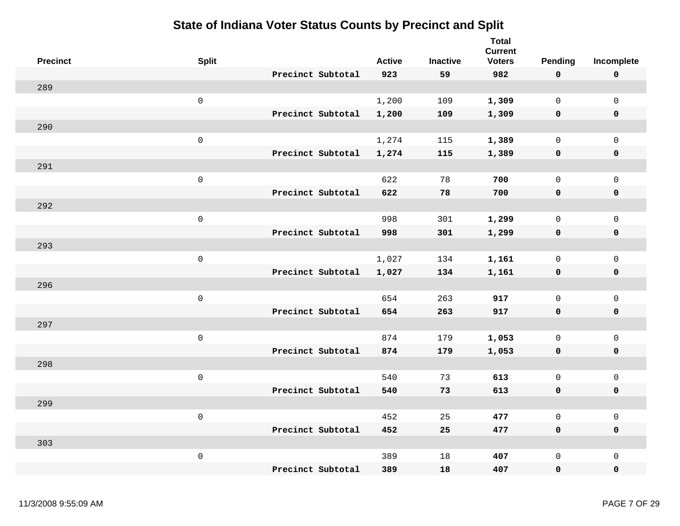| <b>Precinct</b> | <b>Split</b>        |                   | <b>Active</b> | <b>Inactive</b> | <b>Total</b><br><b>Current</b><br><b>Voters</b> | Pending             | Incomplete          |
|-----------------|---------------------|-------------------|---------------|-----------------|-------------------------------------------------|---------------------|---------------------|
|                 |                     | Precinct Subtotal | 923           | 59              | 982                                             | $\mathbf 0$         | $\pmb{0}$           |
| 289             |                     |                   |               |                 |                                                 |                     |                     |
|                 | $\mathsf{O}\xspace$ |                   | 1,200         | 109             | 1,309                                           | $\mathsf{O}$        | $\mathsf 0$         |
|                 |                     | Precinct Subtotal | 1,200         | 109             | 1,309                                           | $\mathbf 0$         | $\mathbf 0$         |
| 290             |                     |                   |               |                 |                                                 |                     |                     |
|                 | $\mathsf{O}\xspace$ |                   | 1,274         | 115             | 1,389                                           | $\mathbf 0$         | $\mathsf{O}\xspace$ |
|                 |                     | Precinct Subtotal | 1,274         | 115             | 1,389                                           | $\mathbf 0$         | $\mathbf 0$         |
| 291             |                     |                   |               |                 |                                                 |                     |                     |
|                 | $\mathsf{O}\xspace$ |                   | 622           | 78              | 700                                             | $\mathbf 0$         | $\mathbf 0$         |
|                 |                     | Precinct Subtotal | 622           | 78              | 700                                             | $\mathbf 0$         | $\mathbf 0$         |
| 292             |                     |                   |               |                 |                                                 |                     |                     |
|                 | $\mathsf{O}\xspace$ |                   | 998           | 301             | 1,299                                           | 0                   | $\mathsf{O}\xspace$ |
|                 |                     | Precinct Subtotal | 998           | 301             | 1,299                                           | $\mathbf 0$         | $\pmb{0}$           |
| 293             |                     |                   |               |                 |                                                 |                     |                     |
|                 | $\mathsf{O}\xspace$ |                   | 1,027         | 134             | 1,161                                           | $\mathsf{O}$        | $\mathsf 0$         |
|                 |                     | Precinct Subtotal | 1,027         | 134             | 1,161                                           | $\mathbf 0$         | $\pmb{0}$           |
| 296             |                     |                   |               |                 |                                                 |                     |                     |
|                 | $\mathsf{O}\xspace$ |                   | 654           | 263             | 917                                             | $\mathbf 0$         | $\mathsf 0$         |
|                 |                     | Precinct Subtotal | 654           | 263             | 917                                             | $\mathbf 0$         | $\mathbf 0$         |
| 297             |                     |                   |               |                 |                                                 |                     |                     |
|                 | $\mathsf{O}\xspace$ |                   | 874           | 179             | 1,053                                           | $\mathsf{O}$        | $\mathsf 0$         |
|                 |                     | Precinct Subtotal | 874           | 179             | 1,053                                           | $\mathbf 0$         | $\mathbf 0$         |
| 298             |                     |                   |               |                 |                                                 |                     |                     |
|                 | $\mathsf{O}\xspace$ |                   | 540           | 73              | 613                                             | $\mathsf{O}$        | $\mathsf 0$         |
|                 |                     | Precinct Subtotal | 540           | 73              | 613                                             | $\mathbf 0$         | $\pmb{0}$           |
| 299             |                     |                   |               |                 |                                                 |                     |                     |
|                 | $\mathsf{O}\xspace$ |                   | 452           | 25              | 477                                             | $\mathsf{O}\xspace$ | $\mathsf 0$         |
|                 |                     | Precinct Subtotal | 452           | 25              | 477                                             | $\mathbf 0$         | $\mathbf 0$         |
| 303             |                     |                   |               |                 |                                                 |                     |                     |
|                 | $\mathsf{O}\xspace$ |                   | 389           | 18              | 407                                             | $\mathsf{O}$        | $\mathsf 0$         |
|                 |                     | Precinct Subtotal | 389           | 18              | 407                                             | $\mathbf 0$         | $\mathbf 0$         |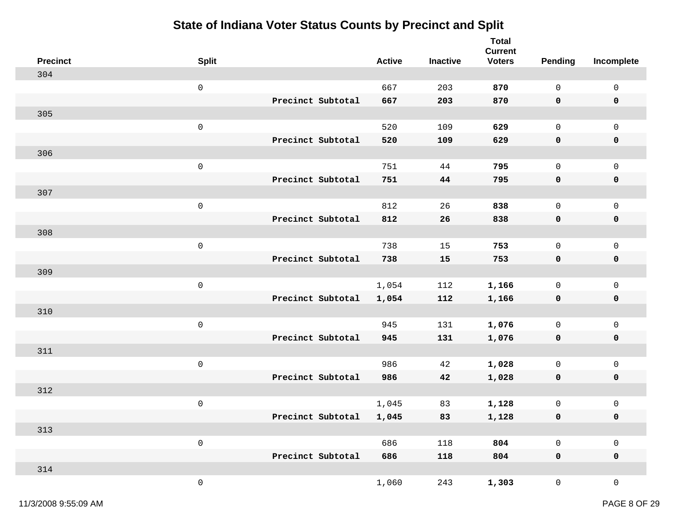| <b>Precinct</b> | <b>Split</b>        |                   | <b>Active</b>  | Inactive | <b>Total</b><br><b>Current</b><br><b>Voters</b> | Pending             | Incomplete          |
|-----------------|---------------------|-------------------|----------------|----------|-------------------------------------------------|---------------------|---------------------|
| 304             |                     |                   |                |          |                                                 |                     |                     |
|                 | $\mathbf 0$         |                   | 667            | 203      | 870                                             | $\mathsf{O}$        | $\mathsf 0$         |
|                 |                     | Precinct Subtotal | 667            | 203      | 870                                             | $\mathbf 0$         | 0                   |
| 305             |                     |                   |                |          |                                                 |                     |                     |
|                 | $\mathbf 0$         |                   | 520            | 109      | 629                                             | $\mathsf{O}$        | $\mathsf{O}$        |
|                 |                     | Precinct Subtotal | 520            | 109      | 629                                             | $\mathbf 0$         | $\mathbf 0$         |
| 306             |                     |                   |                |          |                                                 |                     |                     |
|                 | $\mathbf 0$         |                   | 751            | 44       | 795                                             | $\mathbf 0$         | $\mathsf{O}$        |
|                 |                     | Precinct Subtotal | 751            | 44       | 795                                             | 0                   | 0                   |
| 307             |                     |                   |                |          |                                                 |                     |                     |
|                 | $\mathsf{O}\xspace$ |                   | 812            | 26       | 838                                             | $\mathsf{O}$        | $\mathsf{O}\xspace$ |
|                 |                     | Precinct Subtotal | 812            | 26       | 838                                             | 0                   | 0                   |
| 308             |                     |                   |                |          |                                                 |                     |                     |
|                 | $\mathsf 0$         |                   | 738            | 15       | 753                                             | $\mathsf{O}$        | $\mathsf 0$         |
|                 |                     | Precinct Subtotal | 738            | 15       | 753                                             | 0                   | 0                   |
| 309             |                     |                   |                |          |                                                 |                     |                     |
|                 | $\mathsf 0$         |                   | 1,054          | 112      | 1,166                                           | $\mathbf 0$         | $\mathsf 0$         |
|                 |                     | Precinct Subtotal | 1,054          | 112      | 1,166                                           | $\mathbf 0$         | 0                   |
| 310             |                     |                   |                |          |                                                 |                     |                     |
|                 | $\mathsf{O}\xspace$ |                   | 945            | 131      | 1,076                                           | $\mathsf{O}\xspace$ | $\mathsf 0$         |
|                 |                     | Precinct Subtotal | 945            | 131      | 1,076                                           | $\mathbf 0$         | 0                   |
| 311             |                     |                   |                |          |                                                 |                     |                     |
|                 | $\mathsf{O}\xspace$ |                   | 986            | 42       | 1,028                                           | $\mathsf{O}$        | $\mathsf{O}\xspace$ |
| 312             |                     | Precinct Subtotal | 986            | 42       | 1,028                                           | $\mathbf 0$         | $\mathbf 0$         |
|                 | $\mathsf 0$         |                   |                |          |                                                 |                     |                     |
|                 |                     | Precinct Subtotal | 1,045<br>1,045 | 83<br>83 | 1,128<br>1,128                                  | 0<br>0              | $\mathsf 0$<br>0    |
| 313             |                     |                   |                |          |                                                 |                     |                     |
|                 | $\mathsf{O}\xspace$ |                   | 686            | 118      | 804                                             | $\mathsf{O}\xspace$ | $\mathsf 0$         |
|                 |                     | Precinct Subtotal | 686            | 118      | 804                                             | $\mathbf 0$         | $\mathbf 0$         |
| 314             |                     |                   |                |          |                                                 |                     |                     |
|                 | $\mathsf{O}\xspace$ |                   | 1,060          | 243      | 1,303                                           | $\mathsf{O}$        | $\mathsf{O}\xspace$ |
|                 |                     |                   |                |          |                                                 |                     |                     |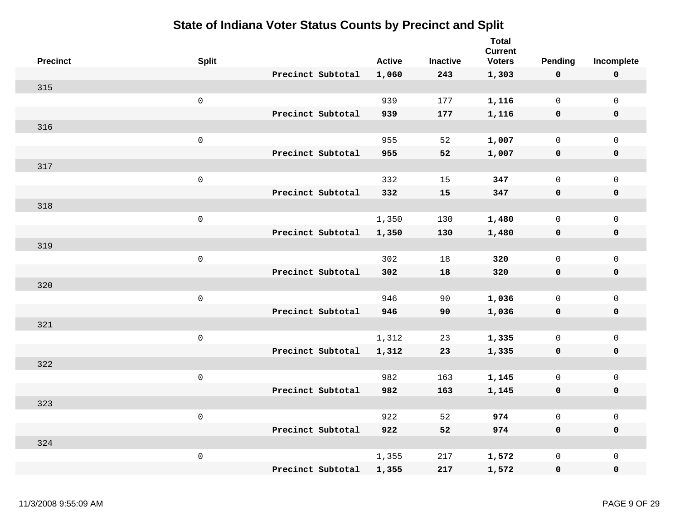| <b>Precinct</b> | <b>Split</b>        |                   | <b>Active</b> | <b>Inactive</b> | <b>Total</b><br><b>Current</b><br><b>Voters</b> | <b>Pending</b>      | Incomplete          |
|-----------------|---------------------|-------------------|---------------|-----------------|-------------------------------------------------|---------------------|---------------------|
|                 |                     | Precinct Subtotal | 1,060         | 243             | 1,303                                           | $\mathbf 0$         | 0                   |
| 315             |                     |                   |               |                 |                                                 |                     |                     |
|                 | $\mathsf 0$         |                   | 939           | 177             | 1,116                                           | $\mathsf{O}\xspace$ | $\mathsf{O}\xspace$ |
|                 |                     | Precinct Subtotal | 939           | 177             | 1,116                                           | $\mathbf 0$         | $\mathbf 0$         |
| 316             |                     |                   |               |                 |                                                 |                     |                     |
|                 | $\mathsf{O}\xspace$ |                   | 955           | 52              | 1,007                                           | $\overline{0}$      | $\mathsf{O}\xspace$ |
|                 |                     | Precinct Subtotal | 955           | 52              | 1,007                                           | $\mathbf 0$         | $\mathbf 0$         |
| 317             |                     |                   |               |                 |                                                 |                     |                     |
|                 | $\mathsf 0$         |                   | 332           | 15              | 347                                             | $\mathsf{O}\xspace$ | $\mathsf{O}\xspace$ |
|                 |                     | Precinct Subtotal | 332           | 15              | 347                                             | $\pmb{0}$           | $\pmb{0}$           |
| 318             |                     |                   |               |                 |                                                 |                     |                     |
|                 | $\mathsf{O}\xspace$ |                   | 1,350         | 130             | 1,480                                           | $\mathsf{O}$        | $\mathsf{O}$        |
|                 |                     | Precinct Subtotal | 1,350         | 130             | 1,480                                           | $\mathbf 0$         | 0                   |
| 319             |                     |                   |               |                 |                                                 |                     |                     |
|                 | $\mathsf{O}\xspace$ |                   | 302           | 18              | 320                                             | $\mathsf{O}\xspace$ | $\mathsf{O}\xspace$ |
|                 |                     | Precinct Subtotal | 302           | 18              | 320                                             | $\mathbf 0$         | 0                   |
| 320             |                     |                   |               |                 |                                                 |                     |                     |
|                 | $\mathsf{O}$        |                   | 946           | 90              | 1,036                                           | $\mathbf 0$         | $\mathsf{O}\xspace$ |
|                 |                     | Precinct Subtotal | 946           | 90              | 1,036                                           | $\mathbf 0$         | $\mathbf 0$         |
| 321             |                     |                   |               |                 |                                                 |                     |                     |
|                 | $\mathsf 0$         |                   | 1,312         | 23              | 1,335                                           | $\mathsf{O}\xspace$ | $\mathsf{O}\xspace$ |
|                 |                     | Precinct Subtotal | 1,312         | 23              | 1,335                                           | 0                   | $\mathbf 0$         |
| 322             |                     |                   |               |                 |                                                 |                     |                     |
|                 | $\mathsf{O}\xspace$ |                   | 982           | 163             | 1,145                                           | $\mathsf{O}$        | $\mathsf{O}\xspace$ |
|                 |                     | Precinct Subtotal | 982           | 163             | 1,145                                           | $\mathbf 0$         | 0                   |
| 323             |                     |                   |               |                 |                                                 |                     |                     |
|                 | $\mathsf{O}\xspace$ |                   | 922           | 52              | 974                                             | $\mathsf 0$         | $\mathsf{O}\xspace$ |
|                 |                     | Precinct Subtotal | 922           | 52              | 974                                             | $\mathbf 0$         | $\mathbf 0$         |
| 324             |                     |                   |               |                 |                                                 |                     |                     |
|                 | $\mathsf{O}\xspace$ |                   | 1,355         | 217             | 1,572                                           | $\mathsf 0$         | $\mathsf{O}\xspace$ |
|                 |                     | Precinct Subtotal | 1,355         | 217             | 1,572                                           | $\mathbf 0$         | 0                   |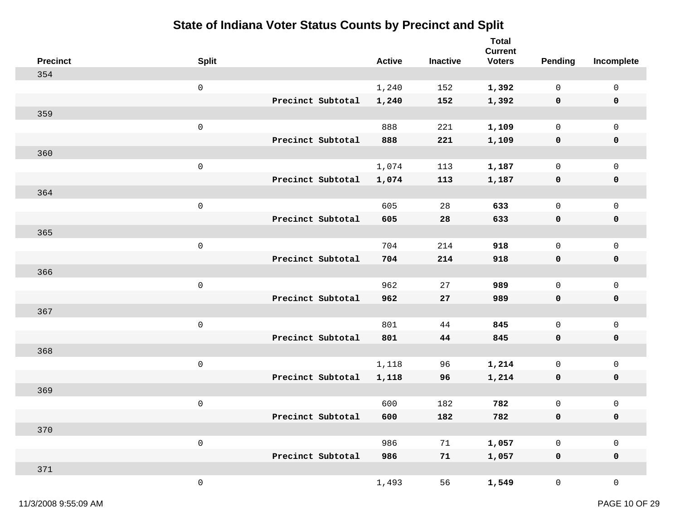| <b>Precinct</b> | <b>Split</b>        |                   | <b>Active</b> | <b>Inactive</b> | <b>Total</b><br><b>Current</b><br><b>Voters</b> | <b>Pending</b>      | Incomplete          |
|-----------------|---------------------|-------------------|---------------|-----------------|-------------------------------------------------|---------------------|---------------------|
| 354             |                     |                   |               |                 |                                                 |                     |                     |
|                 | $\mathsf{O}\xspace$ |                   | 1,240         | 152             | 1,392                                           | $\mathsf{O}$        | $\mathsf{O}\xspace$ |
|                 |                     | Precinct Subtotal | 1,240         | 152             | 1,392                                           | 0                   | 0                   |
| 359             |                     |                   |               |                 |                                                 |                     |                     |
|                 | $\mathsf{O}\xspace$ |                   | 888           | 221             | 1,109                                           | $\mathsf{O}$        | $\mathsf 0$         |
|                 |                     | Precinct Subtotal | 888           | 221             | 1,109                                           | $\mathbf 0$         | $\mathbf 0$         |
| 360             |                     |                   |               |                 |                                                 |                     |                     |
|                 | $\mathsf{O}\xspace$ |                   | 1,074         | 113             | 1,187                                           | $\mathsf{O}$        | $\mathsf{O}$        |
|                 |                     | Precinct Subtotal | 1,074         | 113             | 1,187                                           | 0                   | 0                   |
| 364             |                     |                   |               |                 |                                                 |                     |                     |
|                 | $\mathsf{O}\xspace$ |                   | 605           | 28              | 633                                             | $\mathsf 0$         | $\mathsf 0$         |
|                 |                     | Precinct Subtotal | 605           | 28              | 633                                             | 0                   | 0                   |
| 365             |                     |                   |               |                 |                                                 |                     |                     |
|                 | $\mathsf{O}\xspace$ |                   | 704           | 214             | 918                                             | $\mathsf{O}$        | $\mathsf 0$         |
|                 |                     | Precinct Subtotal | 704           | 214             | 918                                             | $\mathbf 0$         | $\mathbf 0$         |
| 366             |                     |                   |               |                 |                                                 |                     |                     |
|                 | $\mathsf{O}\xspace$ |                   | 962           | 27              | 989                                             | $\mathbf 0$         | $\mathsf 0$         |
|                 |                     | Precinct Subtotal | 962           | 27              | 989                                             | 0                   | 0                   |
| 367             |                     |                   |               |                 |                                                 |                     |                     |
|                 | $\mathsf{O}\xspace$ |                   | 801           | 44              | 845                                             | $\mathsf{O}$        | $\mathsf{O}\xspace$ |
|                 |                     | Precinct Subtotal | 801           | 44              | 845                                             | 0                   | 0                   |
| 368             |                     |                   |               |                 |                                                 |                     |                     |
|                 | $\mathsf{O}\xspace$ |                   | 1,118         | 96              | 1,214                                           | 0                   | $\mathsf 0$         |
|                 |                     | Precinct Subtotal | 1,118         | 96              | 1,214                                           | $\mathbf 0$         | 0                   |
| 369             |                     |                   |               |                 |                                                 |                     |                     |
|                 | $\mathsf{O}\xspace$ |                   | 600           | 182             | 782                                             | $\mathsf{O}\xspace$ | $\mathsf{O}$        |
|                 |                     | Precinct Subtotal | 600           | 182             | 782                                             | 0                   | 0                   |
| 370             |                     |                   |               |                 |                                                 |                     |                     |
|                 | $\mathsf{O}\xspace$ |                   | 986           | $71\,$          | 1,057                                           | $\mathsf{O}\xspace$ | $\mathsf{O}\xspace$ |
|                 |                     | Precinct Subtotal | 986           | $71\,$          | 1,057                                           | $\mathbf 0$         | $\mathbf 0$         |
| 371             |                     |                   |               |                 |                                                 |                     |                     |
|                 | $\mathsf{O}\xspace$ |                   | 1,493         | 56              | 1,549                                           | $\mathsf{O}$        | $\mathsf{O}\xspace$ |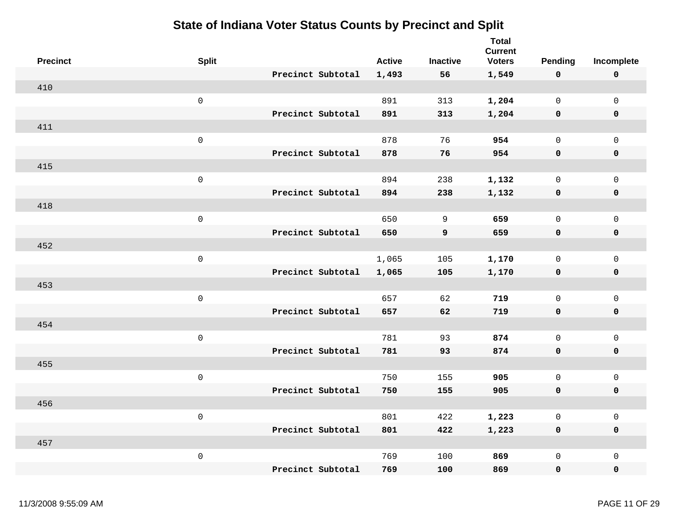| <b>Precinct</b> |                     |                   | <b>Active</b> | <b>Inactive</b> | <b>Total</b><br><b>Current</b><br><b>Voters</b> |                     |                     |
|-----------------|---------------------|-------------------|---------------|-----------------|-------------------------------------------------|---------------------|---------------------|
|                 | <b>Split</b>        |                   |               |                 |                                                 | Pending             | Incomplete          |
|                 |                     | Precinct Subtotal | 1,493         | 56              | 1,549                                           | 0                   | $\mathbf 0$         |
| 410             |                     |                   |               |                 |                                                 |                     |                     |
|                 | $\mathsf{O}\xspace$ |                   | 891           | 313             | 1,204                                           | $\mathsf{O}$        | $\mathsf{O}\xspace$ |
|                 |                     | Precinct Subtotal | 891           | 313             | 1,204                                           | 0                   | $\mathbf 0$         |
| 411             |                     |                   |               |                 |                                                 |                     |                     |
|                 | $\mathsf{O}\xspace$ |                   | 878           | 76              | 954                                             | $\mathbf 0$         | $\mathbf 0$         |
|                 |                     | Precinct Subtotal | 878           | 76              | 954                                             | $\mathbf 0$         | $\mathbf 0$         |
| 415             |                     |                   |               |                 |                                                 |                     |                     |
|                 | $\mathsf{O}\xspace$ |                   | 894           | 238             | 1,132                                           | $\mathbf 0$         | $\mathsf{O}\xspace$ |
|                 |                     | Precinct Subtotal | 894           | 238             | 1,132                                           | 0                   | 0                   |
| 418             |                     |                   |               |                 |                                                 |                     |                     |
|                 | $\mathsf{O}\xspace$ |                   | 650           | 9               | 659                                             | $\mathbf 0$         | $\mathsf{O}$        |
|                 |                     | Precinct Subtotal | 650           | 9               | 659                                             | 0                   | $\mathbf 0$         |
| 452             |                     |                   |               |                 |                                                 |                     |                     |
|                 | $\mathsf{O}\xspace$ |                   | 1,065         | 105             | 1,170                                           | $\mathsf{O}$        | $\mathsf 0$         |
|                 |                     | Precinct Subtotal | 1,065         | 105             | 1,170                                           | $\mathbf 0$         | $\pmb{0}$           |
| 453             |                     |                   |               |                 |                                                 |                     |                     |
|                 | $\mathsf{O}\xspace$ |                   | 657           | 62              | 719                                             | $\mathbf 0$         | $\mathsf{O}\xspace$ |
|                 |                     | Precinct Subtotal | 657           | 62              | 719                                             | $\mathbf 0$         | $\mathbf 0$         |
| 454             |                     |                   |               |                 |                                                 |                     |                     |
|                 | $\mathsf{O}\xspace$ |                   | 781           | 93              | 874                                             | $\mathbf 0$         | $\mathsf{O}$        |
|                 |                     | Precinct Subtotal | 781           | 93              | 874                                             | $\mathbf 0$         | $\mathbf 0$         |
| 455             |                     |                   |               |                 |                                                 |                     |                     |
|                 | $\mathsf{O}\xspace$ |                   | 750           | 155             | 905                                             | $\mathbf 0$         | $\mathbf 0$         |
|                 |                     | Precinct Subtotal | 750           | 155             | 905                                             | 0                   | $\mathbf 0$         |
| 456             |                     |                   |               |                 |                                                 |                     |                     |
|                 | $\mathsf{O}\xspace$ |                   | 801           | 422             | 1,223                                           | $\mathsf{O}\xspace$ | $\mathsf 0$         |
|                 |                     | Precinct Subtotal | 801           | 422             | 1,223                                           | $\mathbf 0$         | $\mathbf 0$         |
| 457             |                     |                   |               |                 |                                                 |                     |                     |
|                 | $\mathsf{O}\xspace$ |                   | 769           | 100             | 869                                             | $\mathsf{O}\xspace$ | $\mathsf 0$         |
|                 |                     | Precinct Subtotal | 769           | 100             | 869                                             | 0                   | $\pmb{0}$           |
|                 |                     |                   |               |                 |                                                 |                     |                     |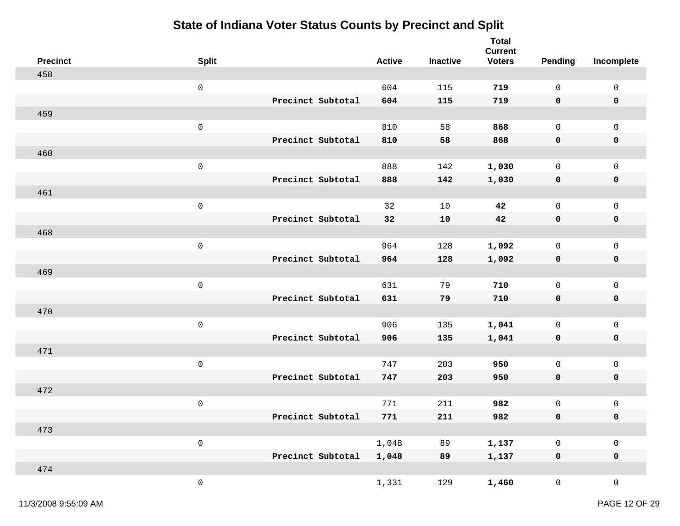| <b>Precinct</b> | <b>Split</b>        |                   | <b>Active</b> | <b>Inactive</b> | <b>Total</b><br><b>Current</b><br><b>Voters</b> | <b>Pending</b>      | Incomplete          |
|-----------------|---------------------|-------------------|---------------|-----------------|-------------------------------------------------|---------------------|---------------------|
| 458             |                     |                   |               |                 |                                                 |                     |                     |
|                 | $\mathbf 0$         |                   | 604           | 115             | 719                                             | $\mathsf{O}$        | $\mathsf{O}\xspace$ |
|                 |                     | Precinct Subtotal | 604           | 115             | 719                                             | $\mathbf 0$         | 0                   |
| 459             |                     |                   |               |                 |                                                 |                     |                     |
|                 | $\mathbf 0$         |                   | 810           | 58              | 868                                             | $\mathsf{O}$        | $\mathsf{O}$        |
|                 |                     | Precinct Subtotal | 810           | 58              | 868                                             | $\mathbf 0$         | $\mathbf 0$         |
| 460             |                     |                   |               |                 |                                                 |                     |                     |
|                 | $\mathbf 0$         |                   | 888           | 142             | 1,030                                           | $\mathbf 0$         | $\mathsf{O}$        |
|                 |                     | Precinct Subtotal | 888           | 142             | 1,030                                           | $\mathbf 0$         | 0                   |
| 461             |                     |                   |               |                 |                                                 |                     |                     |
|                 | $\mathsf{O}\xspace$ |                   | 32            | 10              | 42                                              | $\mathsf{O}$        | $\mathsf 0$         |
|                 |                     | Precinct Subtotal | 32            | 10              | 42                                              | $\mathbf 0$         | 0                   |
| 468             |                     |                   |               |                 |                                                 |                     |                     |
|                 | $\mathsf 0$         |                   | 964           | 128             | 1,092                                           | $\mathsf{O}$        | $\mathsf 0$         |
|                 |                     | Precinct Subtotal | 964           | 128             | 1,092                                           | 0                   | 0                   |
| 469             |                     |                   |               |                 |                                                 |                     |                     |
|                 | $\mathsf 0$         |                   | 631           | 79              | 710                                             | $\mathbf 0$         | $\mathsf 0$         |
|                 |                     | Precinct Subtotal | 631           | 79              | 710                                             | 0                   | 0                   |
| 470             |                     |                   |               |                 |                                                 |                     |                     |
|                 | $\mathbf 0$         |                   | 906           | 135             | 1,041                                           | $\mathsf{O}\xspace$ | $\mathsf{O}\xspace$ |
|                 |                     | Precinct Subtotal | 906           | 135             | 1,041                                           | 0                   | 0                   |
| 471             |                     |                   |               |                 |                                                 |                     |                     |
|                 | $\mathbf 0$         | Precinct Subtotal | 747           | 203             | 950                                             | $\mathsf{O}$        | $\mathsf{O}\xspace$ |
| 472             |                     |                   | 747           | 203             | 950                                             | $\mathbf 0$         | $\mathbf 0$         |
|                 | $\mathsf 0$         |                   | 771           | 211             | 982                                             | 0                   | 0                   |
|                 |                     | Precinct Subtotal | 771           | 211             | 982                                             | 0                   | 0                   |
| 473             |                     |                   |               |                 |                                                 |                     |                     |
|                 | $\mathsf{O}\xspace$ |                   | 1,048         | 89              | 1,137                                           | $\mathsf{O}\xspace$ | $\mathsf{O}\xspace$ |
|                 |                     | Precinct Subtotal | 1,048         | 89              | 1,137                                           | $\mathbf 0$         | $\mathbf 0$         |
| 474             |                     |                   |               |                 |                                                 |                     |                     |
|                 | $\mathsf{O}\xspace$ |                   | 1,331         | 129             | 1,460                                           | $\mathsf{O}$        | $\mathsf{O}\xspace$ |
|                 |                     |                   |               |                 |                                                 |                     |                     |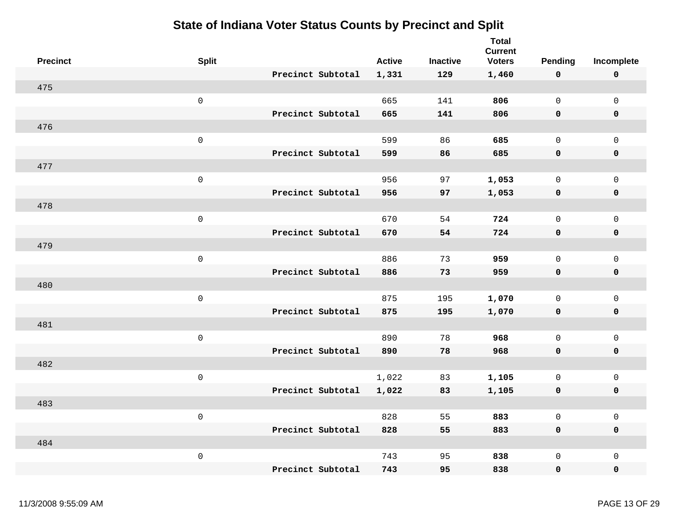| <b>Precinct</b> | <b>Split</b>        |                   | <b>Active</b> | <b>Inactive</b> | <b>Total</b><br><b>Current</b><br><b>Voters</b> | Pending             | Incomplete          |
|-----------------|---------------------|-------------------|---------------|-----------------|-------------------------------------------------|---------------------|---------------------|
|                 |                     | Precinct Subtotal | 1,331         | 129             | 1,460                                           | $\mathbf 0$         | $\mathbf 0$         |
| 475             |                     |                   |               |                 |                                                 |                     |                     |
|                 | $\mathsf{O}\xspace$ |                   | 665           | 141             | 806                                             | $\mathbf 0$         | $\mathsf{O}\xspace$ |
|                 |                     | Precinct Subtotal | 665           | 141             | 806                                             | $\mathbf 0$         | $\mathbf 0$         |
| 476             |                     |                   |               |                 |                                                 |                     |                     |
|                 | $\mathsf{O}\xspace$ |                   | 599           | 86              | 685                                             | $\mathsf{O}\xspace$ | $\mathsf 0$         |
|                 |                     | Precinct Subtotal | 599           | 86              | 685                                             | $\mathbf 0$         | $\mathbf 0$         |
| 477             |                     |                   |               |                 |                                                 |                     |                     |
|                 | $\mathsf{O}\xspace$ |                   | 956           | 97              | 1,053                                           | $\mathbf 0$         | $\mathsf 0$         |
|                 |                     | Precinct Subtotal | 956           | 97              | 1,053                                           | $\mathbf 0$         | $\mathbf 0$         |
| 478             |                     |                   |               |                 |                                                 |                     |                     |
|                 | $\mathsf{O}\xspace$ |                   | 670           | 54              | 724                                             | $\mathbf 0$         | $\mathsf{O}$        |
|                 |                     | Precinct Subtotal | 670           | 54              | 724                                             | 0                   | $\mathbf 0$         |
| 479             |                     |                   |               |                 |                                                 |                     |                     |
|                 | $\mathsf{O}\xspace$ |                   | 886           | 73              | 959                                             | $\mathsf{O}$        | $\mathsf 0$         |
|                 |                     | Precinct Subtotal | 886           | 73              | 959                                             | $\mathbf 0$         | $\pmb{0}$           |
| 480             |                     |                   |               |                 |                                                 |                     |                     |
|                 | $\mathsf{O}\xspace$ |                   | 875           | 195             |                                                 | $\mathbf 0$         | $\mathsf 0$         |
|                 |                     | Precinct Subtotal |               | 195             | 1,070<br>1,070                                  | $\mathbf 0$         | $\mathbf 0$         |
|                 |                     |                   | 875           |                 |                                                 |                     |                     |
| 481             | $\mathsf{O}\xspace$ |                   | 890           | 78              | 968                                             | $\mathbf 0$         | $\mathsf{O}\xspace$ |
|                 |                     | Precinct Subtotal | 890           | 78              | 968                                             | $\mathbf 0$         | $\mathbf 0$         |
| 482             |                     |                   |               |                 |                                                 |                     |                     |
|                 | $\mathsf{O}\xspace$ |                   | 1,022         |                 | 1,105                                           |                     | $\mathsf 0$         |
|                 |                     | Precinct Subtotal |               | 83              |                                                 | 0                   |                     |
| 483             |                     |                   | 1,022         | 83              | 1,105                                           | 0                   | $\mathbf 0$         |
|                 | $\mathsf{O}\xspace$ |                   | 828           | 55              | 883                                             | $\mathsf 0$         |                     |
|                 |                     | Precinct Subtotal | 828           | 55              | 883                                             |                     | $\mathsf{O}\xspace$ |
| 484             |                     |                   |               |                 |                                                 | $\mathbf 0$         | $\mathbf 0$         |
|                 | $\mathsf{O}\xspace$ |                   | 743           | 95              | 838                                             | $\mathsf{O}\xspace$ |                     |
|                 |                     | Precinct Subtotal | 743           |                 |                                                 | 0                   | $\mathsf 0$         |
|                 |                     |                   |               | 95              | 838                                             |                     | $\pmb{0}$           |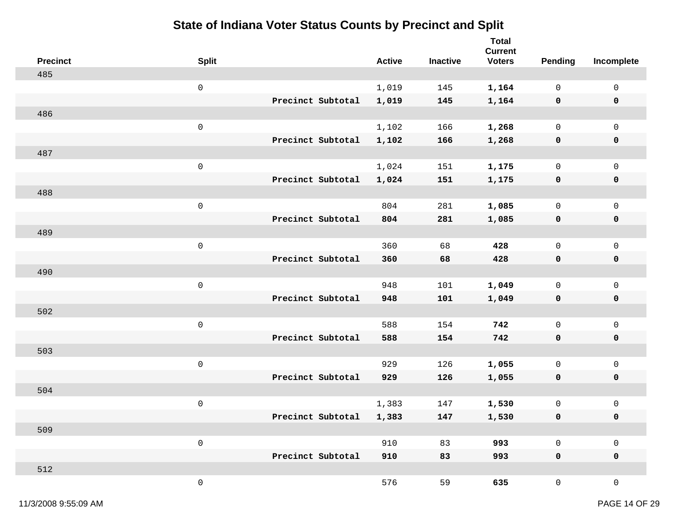| <b>Precinct</b> | <b>Split</b>        |                   | <b>Active</b> | Inactive | <b>Total</b><br><b>Current</b><br><b>Voters</b> | <b>Pending</b>      | Incomplete          |
|-----------------|---------------------|-------------------|---------------|----------|-------------------------------------------------|---------------------|---------------------|
| 485             |                     |                   |               |          |                                                 |                     |                     |
|                 | $\mathbf 0$         |                   | 1,019         | 145      | 1,164                                           | $\mathbf 0$         | $\mathsf{O}\xspace$ |
|                 |                     | Precinct Subtotal | 1,019         | 145      | 1,164                                           | $\mathbf 0$         | 0                   |
| 486             |                     |                   |               |          |                                                 |                     |                     |
|                 | $\mathbf 0$         |                   | 1,102         | 166      | 1,268                                           | $\mathsf{O}$        | $\mathsf 0$         |
|                 |                     | Precinct Subtotal | 1,102         | 166      | 1,268                                           | $\mathbf 0$         | $\pmb{0}$           |
| 487             |                     |                   |               |          |                                                 |                     |                     |
|                 | $\mathbf 0$         |                   | 1,024         | 151      | 1,175                                           | $\mathsf{O}\xspace$ | $\mathsf{O}$        |
|                 |                     | Precinct Subtotal | 1,024         | 151      | 1,175                                           | 0                   | 0                   |
| 488             |                     |                   |               |          |                                                 |                     |                     |
|                 | $\mbox{O}$          |                   | 804           | 281      | 1,085                                           | $\mathsf{O}\xspace$ | $\mathsf 0$         |
|                 |                     | Precinct Subtotal | 804           | 281      | 1,085                                           | 0                   | 0                   |
| 489             |                     |                   |               |          |                                                 |                     |                     |
|                 | $\mathsf 0$         |                   | 360           | 68       | 428                                             | $\mathsf{O}$        | $\mathsf 0$         |
|                 |                     | Precinct Subtotal | 360           | 68       | 428                                             | 0                   | $\mathbf 0$         |
| 490             |                     |                   |               |          |                                                 |                     |                     |
|                 | $\mathsf 0$         |                   | 948           | 101      | 1,049                                           | $\mathbf 0$         | $\mathsf{O}$        |
|                 |                     | Precinct Subtotal | 948           | 101      | 1,049                                           | 0                   | 0                   |
| 502             |                     |                   |               |          |                                                 |                     |                     |
|                 | $\mathsf{O}\xspace$ |                   | 588           | 154      | 742                                             | $\mathsf{O}\xspace$ | $\mathsf{O}\xspace$ |
|                 |                     | Precinct Subtotal | 588           | 154      | 742                                             | 0                   | 0                   |
| 503             |                     |                   |               |          |                                                 |                     |                     |
|                 | $\mathbf 0$         |                   | 929           | 126      | 1,055                                           | $\mathsf{O}$        | $\mathsf{O}\xspace$ |
|                 |                     | Precinct Subtotal | 929           | 126      | 1,055                                           | $\mathbf 0$         | 0                   |
| 504             |                     |                   |               |          |                                                 |                     |                     |
|                 | $\mathsf 0$         |                   | 1,383         | 147      | 1,530                                           | $\mathsf{O}\xspace$ | $\mathsf{O}$        |
|                 |                     | Precinct Subtotal | 1,383         | 147      | 1,530                                           | 0                   | 0                   |
| 509             |                     |                   |               |          |                                                 |                     |                     |
|                 | $\mathsf{O}\xspace$ |                   | 910           | 83       | 993                                             | $\mathsf{O}\xspace$ | $\mathsf{O}\xspace$ |
|                 |                     | Precinct Subtotal | 910           | 83       | 993                                             | $\mathbf 0$         | $\mathbf 0$         |
| 512             |                     |                   |               |          |                                                 |                     |                     |
|                 | $\mathsf{O}\xspace$ |                   | 576           | 59       | 635                                             | $\mathsf{O}$        | $\mathsf{O}\xspace$ |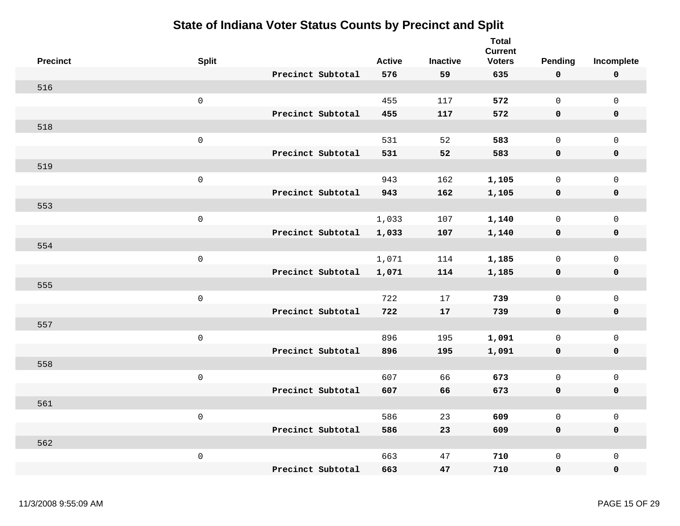| <b>Precinct</b> | <b>Split</b>        |                   | <b>Active</b> | <b>Inactive</b> | <b>Total</b><br><b>Current</b><br><b>Voters</b> | <b>Pending</b>      | Incomplete          |
|-----------------|---------------------|-------------------|---------------|-----------------|-------------------------------------------------|---------------------|---------------------|
|                 |                     | Precinct Subtotal | 576           | 59              | 635                                             | $\mathbf 0$         | $\pmb{0}$           |
| 516             |                     |                   |               |                 |                                                 |                     |                     |
|                 | $\mathsf{O}\xspace$ |                   | 455           | 117             | 572                                             | $\overline{0}$      | $\mathsf{O}\xspace$ |
|                 |                     | Precinct Subtotal | 455           | 117             | 572                                             | 0                   | 0                   |
| 518             |                     |                   |               |                 |                                                 |                     |                     |
|                 | $\mathsf{O}\xspace$ |                   | 531           | 52              | 583                                             | $\mathbf 0$         | $\mathsf{O}\xspace$ |
|                 |                     | Precinct Subtotal | 531           | 52              | 583                                             | $\mathbf 0$         | $\mathbf 0$         |
| 519             |                     |                   |               |                 |                                                 |                     |                     |
|                 | $\mathsf 0$         |                   | 943           | 162             | 1,105                                           | $\mathsf{O}$        | $\mathsf{O}\xspace$ |
|                 |                     | Precinct Subtotal | 943           | 162             | 1,105                                           | $\mathbf 0$         | $\mathbf 0$         |
| 553             |                     |                   |               |                 |                                                 |                     |                     |
|                 | $\mathsf 0$         |                   | 1,033         | 107             | 1,140                                           | $\mathbf 0$         | $\mathsf 0$         |
|                 |                     | Precinct Subtotal | 1,033         | 107             | 1,140                                           | $\mathbf 0$         | 0                   |
| 554             |                     |                   |               |                 |                                                 |                     |                     |
|                 | $\mathsf{O}\xspace$ |                   | 1,071         | 114             | 1,185                                           | $\mathsf{O}$        | $\mathsf{O}\xspace$ |
|                 |                     | Precinct Subtotal | 1,071         | 114             | 1,185                                           | $\mathbf 0$         | 0                   |
| 555             |                     |                   |               |                 |                                                 |                     |                     |
|                 | $\mathsf 0$         |                   | 722           | 17              | 739                                             | $\mathbf 0$         | $\mathsf{O}\xspace$ |
|                 |                     | Precinct Subtotal | 722           | 17              | 739                                             | $\mathbf 0$         | $\mathbf 0$         |
| 557             |                     |                   |               |                 |                                                 |                     |                     |
|                 | $\mathsf{O}\xspace$ |                   | 896           | 195             | 1,091                                           | $\mathbf 0$         | $\mathsf{O}$        |
|                 |                     | Precinct Subtotal | 896           | 195             | 1,091                                           | 0                   | 0                   |
| 558             |                     |                   |               |                 |                                                 |                     |                     |
|                 | $\mathsf 0$         |                   | 607           | 66              | 673                                             | $\mathsf{O}$        | $\mathsf{O}\xspace$ |
|                 |                     | Precinct Subtotal | 607           | 66              | 673                                             | 0                   | 0                   |
| 561             |                     |                   |               |                 |                                                 |                     |                     |
|                 | $\mathsf 0$         |                   | 586           | 23              | 609                                             | $\mathsf 0$         | $\mathsf{O}\xspace$ |
|                 |                     | Precinct Subtotal | 586           | 23              | 609                                             | $\mathbf 0$         | $\pmb{0}$           |
| 562             |                     |                   |               |                 |                                                 |                     |                     |
|                 | $\mathsf 0$         |                   | 663           | 47              | 710                                             | $\mathsf{O}\xspace$ | $\mathsf 0$         |
|                 |                     | Precinct Subtotal | 663           | 47              | 710                                             | 0                   | 0                   |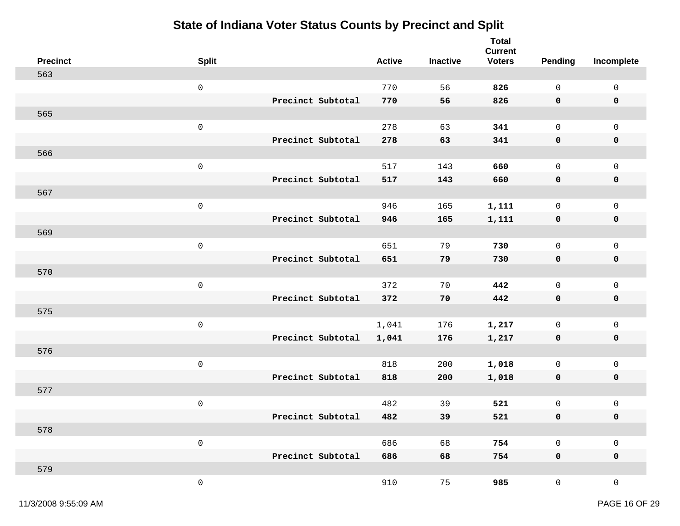| <b>Precinct</b> | <b>Split</b>        |                   | <b>Active</b> | Inactive | <b>Total</b><br><b>Current</b><br><b>Voters</b> | <b>Pending</b>      | Incomplete                         |
|-----------------|---------------------|-------------------|---------------|----------|-------------------------------------------------|---------------------|------------------------------------|
| 563             |                     |                   |               |          |                                                 |                     |                                    |
|                 | $\mathbf 0$         |                   | 770           | 56       | 826                                             | $\mathsf{O}$        | $\mathsf 0$                        |
|                 |                     | Precinct Subtotal | 770           | 56       | 826                                             | $\mathbf 0$         | 0                                  |
| 565             |                     |                   |               |          |                                                 |                     |                                    |
|                 | $\mathbf 0$         |                   | 278           | 63       | 341                                             | $\mathsf{O}$        | $\mathsf{O}$                       |
|                 |                     | Precinct Subtotal | 278           | 63       | 341                                             | $\mathbf 0$         | $\mathbf 0$                        |
| 566             |                     |                   |               |          |                                                 |                     |                                    |
|                 | $\mathbf 0$         |                   | 517           | 143      | 660                                             | $\mathbf 0$         | $\mathsf{O}$                       |
|                 |                     | Precinct Subtotal | 517           | 143      | 660                                             | $\mathbf 0$         | 0                                  |
| 567             |                     |                   |               |          |                                                 |                     |                                    |
|                 | $\mathsf{O}\xspace$ |                   | 946           | 165      | 1,111                                           | $\mathsf{O}$        | $\mathsf 0$                        |
|                 |                     | Precinct Subtotal | 946           | 165      | 1,111                                           | 0                   | 0                                  |
| 569             |                     |                   |               |          |                                                 |                     |                                    |
|                 | $\mathsf 0$         |                   | 651           | 79       | 730                                             | $\mathsf{O}$        | $\mathsf 0$                        |
|                 |                     | Precinct Subtotal | 651           | 79       | 730                                             | 0                   | 0                                  |
| 570             |                     |                   |               |          |                                                 |                     |                                    |
|                 | $\mathsf 0$         |                   | 372           | 70       | 442                                             | $\mathbf 0$         | $\mathsf{O}$                       |
|                 |                     | Precinct Subtotal | 372           | 70       | 442                                             | $\mathbf 0$         | 0                                  |
| 575             |                     |                   |               |          |                                                 |                     |                                    |
|                 | $\mathbf 0$         |                   | 1,041         | 176      | 1,217                                           | $\mathsf{O}\xspace$ | $\mathsf 0$                        |
|                 |                     | Precinct Subtotal | 1,041         | 176      | 1,217                                           | $\mathbf 0$         | 0                                  |
| 576             |                     |                   |               |          |                                                 |                     |                                    |
|                 | $\mathbf 0$         |                   | 818           | 200      | 1,018                                           | $\mathsf{O}$        | $\mathsf{O}\xspace$                |
|                 |                     | Precinct Subtotal | 818           | 200      | 1,018                                           | $\mathbf 0$         | $\mathbf 0$                        |
| 577             |                     |                   |               |          |                                                 |                     |                                    |
|                 | $\mathsf 0$         |                   | 482           | 39       | 521                                             | 0                   | 0                                  |
|                 |                     | Precinct Subtotal | 482           | 39       | 521                                             | 0                   | 0                                  |
| 578             | $\mathsf{O}\xspace$ |                   | 686           | 68       | 754                                             | $\mathsf{O}\xspace$ |                                    |
|                 |                     | Precinct Subtotal | 686           | 68       | 754                                             | $\mathbf 0$         | $\mathsf{O}\xspace$<br>$\mathbf 0$ |
| 579             |                     |                   |               |          |                                                 |                     |                                    |
|                 | $\mathsf{O}\xspace$ |                   | 910           | 75       | 985                                             | $\mathsf{O}$        | $\mathsf{O}\xspace$                |
|                 |                     |                   |               |          |                                                 |                     |                                    |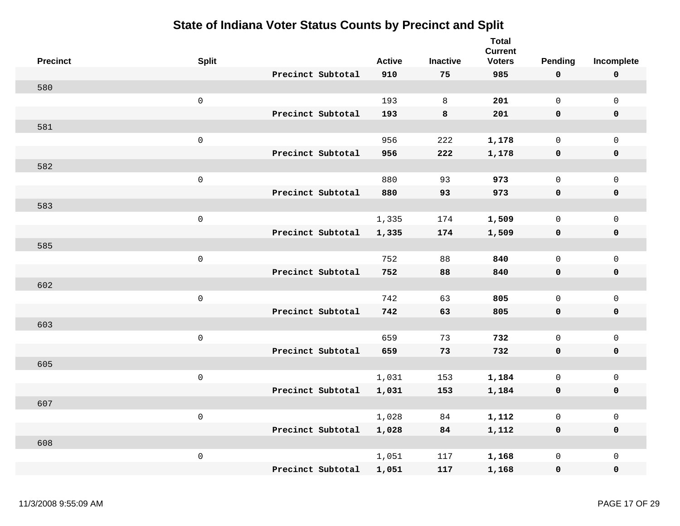| <b>Precinct</b> | <b>Split</b>        |                   | <b>Active</b> | <b>Inactive</b> | <b>Total</b><br><b>Current</b><br><b>Voters</b> | Pending             | Incomplete          |
|-----------------|---------------------|-------------------|---------------|-----------------|-------------------------------------------------|---------------------|---------------------|
|                 |                     | Precinct Subtotal | 910           | 75              | 985                                             | $\mathbf 0$         | $\mathbf 0$         |
| 580             |                     |                   |               |                 |                                                 |                     |                     |
|                 | $\mathbf 0$         |                   | 193           | $\,8\,$         | 201                                             | $\mathbf 0$         | $\mathsf{O}\xspace$ |
|                 |                     | Precinct Subtotal | 193           | 8               | 201                                             | $\mathbf 0$         | $\mathbf 0$         |
| 581             |                     |                   |               |                 |                                                 |                     |                     |
|                 | $\mathsf{O}\xspace$ |                   | 956           | 222             | 1,178                                           | $\mathbf 0$         | $\mathbf 0$         |
|                 |                     | Precinct Subtotal | 956           | 222             | 1,178                                           | $\mathbf 0$         | $\mathbf 0$         |
| 582             |                     |                   |               |                 |                                                 |                     |                     |
|                 | $\mathsf{O}\xspace$ |                   | 880           | 93              | 973                                             | $\mathbf 0$         | $\mathsf{O}\xspace$ |
|                 |                     | Precinct Subtotal | 880           | 93              | 973                                             | 0                   | $\mathbf 0$         |
| 583             |                     |                   |               |                 |                                                 |                     |                     |
|                 | $\mathbf 0$         |                   | 1,335         | 174             | 1,509                                           | 0                   | $\mathsf{O}\xspace$ |
|                 |                     | Precinct Subtotal | 1,335         | 174             | 1,509                                           | 0                   | $\mathbf 0$         |
| 585             |                     |                   |               |                 |                                                 |                     |                     |
|                 | $\mathsf 0$         |                   | 752           | 88              | 840                                             | $\mathsf{O}\xspace$ | $\mathsf 0$         |
|                 |                     | Precinct Subtotal | 752           | 88              | 840                                             | $\mathbf 0$         | $\mathbf 0$         |
| 602             |                     |                   |               |                 |                                                 |                     |                     |
|                 | $\mathsf 0$         |                   | 742           | 63              | 805                                             | $\mathsf{O}\xspace$ | $\mathsf 0$         |
|                 |                     | Precinct Subtotal | 742           | 63              | 805                                             | 0                   | $\mathbf 0$         |
| 603             |                     |                   |               |                 |                                                 |                     |                     |
|                 | $\mathbf 0$         |                   | 659           | 73              | 732                                             | $\mathbf 0$         | $\mathsf{O}\xspace$ |
|                 |                     | Precinct Subtotal | 659           | 73              | 732                                             | 0                   | $\mathbf 0$         |
| 605             |                     |                   |               |                 |                                                 |                     |                     |
|                 | $\mathsf 0$         |                   | 1,031         | 153             | 1,184                                           | $\mathsf 0$         | $\mathsf 0$         |
|                 |                     | Precinct Subtotal | 1,031         | 153             | 1,184                                           | 0                   | $\mathbf 0$         |
| 607             |                     |                   |               |                 |                                                 |                     |                     |
|                 | $\mathsf{O}\xspace$ |                   | 1,028         | 84              | 1,112                                           | $\mathsf 0$         | $\mathsf{O}\xspace$ |
|                 |                     | Precinct Subtotal | 1,028         | 84              | 1,112                                           | $\mathbf 0$         | $\mathbf 0$         |
| 608             |                     |                   |               |                 |                                                 |                     |                     |
|                 | $\mathsf{O}\xspace$ |                   | 1,051         | 117             | 1,168                                           | $\mathsf 0$         | $\mathsf 0$         |
|                 |                     | Precinct Subtotal | 1,051         | 117             | 1,168                                           | 0                   | $\mathbf 0$         |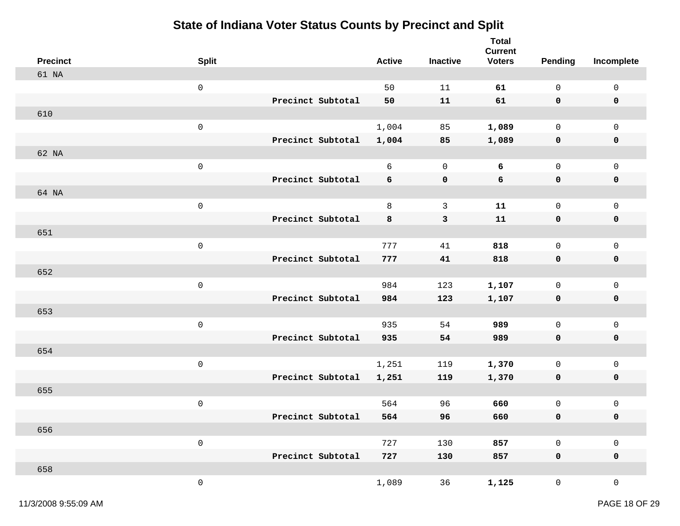| <b>Precinct</b> | <b>Split</b>        |                   | <b>Active</b> | <b>Inactive</b> | <b>Total</b><br><b>Current</b><br><b>Voters</b> | Pending             | Incomplete          |
|-----------------|---------------------|-------------------|---------------|-----------------|-------------------------------------------------|---------------------|---------------------|
| 61 NA           |                     |                   |               |                 |                                                 |                     |                     |
|                 | $\mathsf{O}\xspace$ |                   | 50            | 11              | 61                                              | $\mathsf{O}$        | $\mathsf{O}\xspace$ |
|                 |                     | Precinct Subtotal | 50            | 11              | 61                                              | $\mathbf 0$         | 0                   |
| 610             |                     |                   |               |                 |                                                 |                     |                     |
|                 | $\mathsf{O}\xspace$ |                   | 1,004         | 85              | 1,089                                           | $\mathsf{O}$        | $\mathsf 0$         |
|                 |                     | Precinct Subtotal | 1,004         | 85              | 1,089                                           | $\mathbf 0$         | $\pmb{0}$           |
| 62 NA           |                     |                   |               |                 |                                                 |                     |                     |
|                 | $\mathsf{O}\xspace$ |                   | 6             | $\mathbf 0$     | 6                                               | $\mathsf{O}$        | $\mathsf 0$         |
|                 |                     | Precinct Subtotal | 6             | $\pmb{0}$       | 6                                               | $\mathbf 0$         | 0                   |
| 64 NA           |                     |                   |               |                 |                                                 |                     |                     |
|                 | $\mathsf{O}\xspace$ |                   | 8             | $\mathfrak{Z}$  | ${\bf 11}$                                      | $\mathsf{O}$        | $\mathsf 0$         |
|                 |                     | Precinct Subtotal | 8             | 3               | 11                                              | $\mathbf 0$         | $\mathbf 0$         |
| 651             |                     |                   |               |                 |                                                 |                     |                     |
|                 | $\mathsf{O}\xspace$ |                   | 777           | 41              | 818                                             | $\mathsf{O}$        | $\mathsf 0$         |
|                 |                     | Precinct Subtotal | 777           | 41              | 818                                             | 0                   | 0                   |
| 652             |                     |                   |               |                 |                                                 |                     |                     |
|                 | $\mathsf{O}\xspace$ |                   | 984           | 123             | 1,107                                           | 0                   | $\mathsf 0$         |
|                 |                     | Precinct Subtotal | 984           | 123             | 1,107                                           | 0                   | 0                   |
| 653             |                     |                   |               |                 |                                                 |                     |                     |
|                 | $\mathsf{O}\xspace$ |                   | 935           | 54              | 989                                             | $\mathsf{O}\xspace$ | $\mathsf{O}\xspace$ |
|                 |                     | Precinct Subtotal | 935           | 54              | 989                                             | 0                   | 0                   |
| 654             |                     |                   |               |                 |                                                 |                     |                     |
|                 | $\mathsf{O}\xspace$ |                   | 1,251         | 119             | 1,370                                           | $\mathsf{O}$        | $\mathsf{O}\xspace$ |
|                 |                     | Precinct Subtotal | 1,251         | 119             | 1,370                                           | 0                   | $\pmb{0}$           |
| 655             |                     |                   |               |                 |                                                 |                     |                     |
|                 | $\mathsf{O}\xspace$ |                   | 564           | 96              | 660                                             | 0                   | 0                   |
|                 |                     | Precinct Subtotal | 564           | 96              | 660                                             | 0                   | 0                   |
| 656             |                     |                   |               |                 |                                                 |                     |                     |
|                 | $\mathsf{O}\xspace$ |                   | 727           | 130             | 857                                             | $\mathsf{O}\xspace$ | $\mathsf 0$         |
|                 |                     | Precinct Subtotal | 727           | 130             | 857                                             | $\mathbf 0$         | $\mathbf 0$         |
| 658             |                     |                   |               |                 |                                                 |                     |                     |
|                 | $\mathsf{O}\xspace$ |                   | 1,089         | 36              | 1,125                                           | $\mathsf{O}$        | $\mathsf{O}\xspace$ |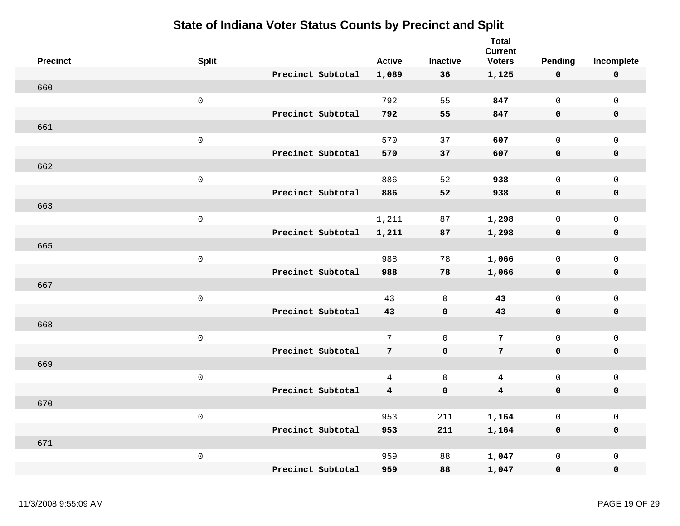| <b>Precinct</b> |                     |                   | <b>Active</b>           | <b>Inactive</b> | <b>Total</b><br><b>Current</b><br><b>Voters</b> |                     |                     |
|-----------------|---------------------|-------------------|-------------------------|-----------------|-------------------------------------------------|---------------------|---------------------|
|                 | <b>Split</b>        | Precinct Subtotal | 1,089                   | 36              |                                                 | Pending             | Incomplete          |
| 660             |                     |                   |                         |                 | 1,125                                           | 0                   | $\mathbf 0$         |
|                 | $\mathsf{O}\xspace$ |                   | 792                     | 55              | 847                                             | $\mathsf{O}\xspace$ | $\mathsf{O}\xspace$ |
|                 |                     | Precinct Subtotal |                         |                 |                                                 |                     |                     |
|                 |                     |                   | 792                     | 55              | 847                                             | $\mathbf 0$         | $\mathbf 0$         |
| 661             | $\mathsf{O}\xspace$ |                   |                         | 37              | 607                                             | $\mathsf{O}\xspace$ |                     |
|                 |                     | Precinct Subtotal | 570                     |                 |                                                 |                     | $\mathsf 0$         |
|                 |                     |                   | 570                     | 37              | 607                                             | $\mathbf 0$         | $\pmb{0}$           |
| 662             |                     |                   |                         |                 |                                                 |                     |                     |
|                 | $\mathsf{O}\xspace$ |                   | 886                     | 52              | 938                                             | $\mathsf{O}\xspace$ | $\mathsf 0$         |
|                 |                     | Precinct Subtotal | 886                     | 52              | 938                                             | $\mathbf 0$         | $\mathbf 0$         |
| 663             |                     |                   |                         |                 |                                                 |                     |                     |
|                 | $\mathsf{O}\xspace$ |                   | 1,211                   | 87              | 1,298                                           | $\mathbf{0}$        | $\mathsf{O}$        |
|                 |                     | Precinct Subtotal | 1,211                   | 87              | 1,298                                           | 0                   | $\mathbf 0$         |
| 665             |                     |                   |                         |                 |                                                 |                     |                     |
|                 | $\mathsf{O}\xspace$ |                   | 988                     | 78              | 1,066                                           | $\mathsf{O}\xspace$ | $\mathsf 0$         |
|                 |                     | Precinct Subtotal | 988                     | 78              | 1,066                                           | $\mathbf 0$         | $\pmb{0}$           |
| 667             |                     |                   |                         |                 |                                                 |                     |                     |
|                 | $\mathsf{O}\xspace$ |                   | 43                      | $\mathsf 0$     | 43                                              | $\mathsf{O}\xspace$ | $\mathsf 0$         |
|                 |                     | Precinct Subtotal | 43                      | $\mathbf 0$     | 43                                              | $\mathbf 0$         | $\mathbf 0$         |
| 668             |                     |                   |                         |                 |                                                 |                     |                     |
|                 | $\mathsf{O}\xspace$ |                   | $7\overline{ }$         | $\mathbf 0$     | 7                                               | $\mathbf 0$         | $\mathsf{O}\xspace$ |
|                 |                     | Precinct Subtotal | $7\overline{ }$         | $\mathbf 0$     | $7\phantom{.}$                                  | $\mathbf 0$         | $\mathbf 0$         |
| 669             |                     |                   |                         |                 |                                                 |                     |                     |
|                 | $\mathsf{O}\xspace$ |                   | $\overline{4}$          | $\mathbb O$     | $\overline{\mathbf{4}}$                         | $\mathsf 0$         | $\mathsf 0$         |
|                 |                     | Precinct Subtotal | $\overline{\mathbf{4}}$ | $\pmb{0}$       | $\overline{\mathbf{4}}$                         | 0                   | $\mathbf 0$         |
| 670             |                     |                   |                         |                 |                                                 |                     |                     |
|                 | $\mathsf{O}\xspace$ |                   | 953                     | 211             | 1,164                                           | $\mathsf 0$         | $\mathsf{O}\xspace$ |
|                 |                     | Precinct Subtotal | 953                     | 211             | 1,164                                           | $\mathbf 0$         | $\mathbf 0$         |
| 671             |                     |                   |                         |                 |                                                 |                     |                     |
|                 | $\mathsf{O}\xspace$ |                   | 959                     | 88              | 1,047                                           | $\mathsf 0$         | $\mathsf 0$         |
|                 |                     | Precinct Subtotal | 959                     | 88              | 1,047                                           | 0                   | $\pmb{0}$           |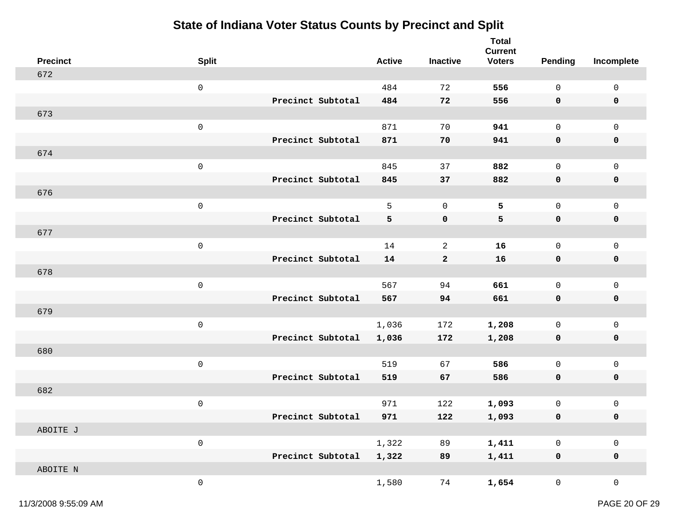| <b>Precinct</b> | <b>Split</b>        |                   | <b>Active</b> | <b>Inactive</b>     | <b>Total</b><br><b>Current</b><br><b>Voters</b> | <b>Pending</b>      | Incomplete          |
|-----------------|---------------------|-------------------|---------------|---------------------|-------------------------------------------------|---------------------|---------------------|
| 672             |                     |                   |               |                     |                                                 |                     |                     |
|                 | $\mathsf{O}\xspace$ |                   | 484           | 72                  | 556                                             | $\overline{0}$      | $\mathsf 0$         |
|                 |                     | Precinct Subtotal | 484           | 72                  | 556                                             | $\mathbf 0$         | $\mathbf 0$         |
| 673             |                     |                   |               |                     |                                                 |                     |                     |
|                 | $\mathsf{O}\xspace$ |                   | 871           | 70                  | 941                                             | $\mathsf{O}$        | $\mathsf 0$         |
|                 |                     | Precinct Subtotal | 871           | 70                  | 941                                             | 0                   | $\mathbf 0$         |
| 674             |                     |                   |               |                     |                                                 |                     |                     |
|                 | $\mathsf{O}\xspace$ |                   | 845           | 37                  | 882                                             | $\mathsf{O}$        | $\mathsf{O}\xspace$ |
|                 |                     | Precinct Subtotal | 845           | 37                  | 882                                             | 0                   | 0                   |
| 676             |                     |                   |               |                     |                                                 |                     |                     |
|                 | $\mathsf{O}\xspace$ |                   | 5             | $\mathsf{O}\xspace$ | 5                                               | $\mathsf{O}$        | $\mathsf 0$         |
|                 |                     | Precinct Subtotal | 5             | 0                   | 5                                               | $\mathbf 0$         | 0                   |
| 677             |                     |                   |               |                     |                                                 |                     |                     |
|                 | $\mathsf{O}\xspace$ |                   | 14            | 2                   | 16                                              | $\mathsf{O}$        | $\mathsf 0$         |
|                 |                     | Precinct Subtotal | 14            | $\mathbf{2}$        | 16                                              | 0                   | 0                   |
| 678             |                     |                   |               |                     |                                                 |                     |                     |
|                 | $\mathsf{O}\xspace$ |                   | 567           | 94                  | 661                                             | $\mathsf{O}$        | $\mathsf{O}\xspace$ |
|                 |                     | Precinct Subtotal | 567           | 94                  | 661                                             | 0                   | 0                   |
| 679             |                     |                   |               |                     |                                                 |                     |                     |
|                 | $\mathsf{O}\xspace$ |                   | 1,036         | 172                 | 1,208                                           | $\mathsf{O}\xspace$ | $\mathsf{O}\xspace$ |
|                 |                     | Precinct Subtotal | 1,036         | 172                 | 1,208                                           | $\mathbf 0$         | 0                   |
| 680             |                     |                   |               |                     |                                                 |                     |                     |
|                 | $\mathsf{O}\xspace$ |                   | 519           | 67                  | 586                                             | $\mathsf{O}$        | $\mathsf{O}\xspace$ |
|                 |                     | Precinct Subtotal | 519           | 67                  | 586                                             | 0                   | 0                   |
| 682             |                     |                   |               |                     |                                                 |                     |                     |
|                 | $\mathsf{O}\xspace$ |                   | 971           | 122                 | 1,093                                           | 0                   | $\mathsf{O}\xspace$ |
|                 |                     | Precinct Subtotal | 971           | 122                 | 1,093                                           | 0                   | 0                   |
| ABOITE J        |                     |                   |               |                     |                                                 |                     |                     |
|                 | $\mathsf{O}\xspace$ |                   | 1,322         | 89                  | 1,411                                           | $\mathsf{O}\xspace$ | $\mathsf 0$         |
|                 |                     | Precinct Subtotal | 1,322         | 89                  | 1,411                                           | $\mathbf 0$         | $\mathbf 0$         |
| ABOITE N        |                     |                   |               |                     |                                                 |                     |                     |
|                 | $\mathsf{O}\xspace$ |                   | 1,580         | 74                  | 1,654                                           | $\mathsf{O}$        | $\mathsf{O}\xspace$ |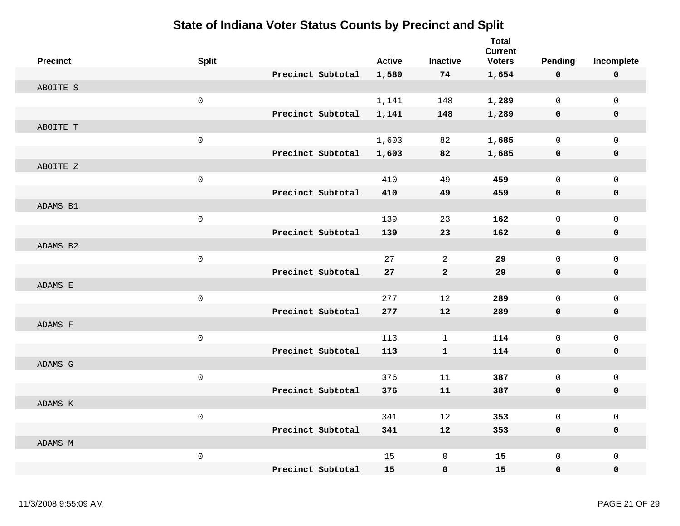| <b>Precinct</b> | <b>Split</b>        |                   | <b>Active</b> | <b>Inactive</b> | <b>Total</b><br><b>Current</b><br><b>Voters</b> | <b>Pending</b>      | Incomplete          |
|-----------------|---------------------|-------------------|---------------|-----------------|-------------------------------------------------|---------------------|---------------------|
|                 |                     | Precinct Subtotal |               |                 |                                                 |                     |                     |
|                 |                     |                   | 1,580         | 74              | 1,654                                           | 0                   | $\mathbf 0$         |
| ABOITE S        |                     |                   |               |                 |                                                 |                     |                     |
|                 | $\mathsf 0$         |                   | 1,141         | 148             | 1,289                                           | $\mathsf{O}$        | $\mathsf{O}\xspace$ |
|                 |                     | Precinct Subtotal | 1,141         | 148             | 1,289                                           | 0                   | $\mathbf 0$         |
| ABOITE T        |                     |                   |               |                 |                                                 |                     |                     |
|                 | $\mathbf 0$         |                   | 1,603         | 82              | 1,685                                           | $\Omega$            | $\mathsf{O}\xspace$ |
|                 |                     | Precinct Subtotal | 1,603         | 82              | 1,685                                           | $\mathbf 0$         | $\mathbf 0$         |
| ABOITE Z        |                     |                   |               |                 |                                                 |                     |                     |
|                 | $\mathbf 0$         |                   | 410           | 49              | 459                                             | $\Omega$            | $\mathsf{O}\xspace$ |
|                 |                     | Precinct Subtotal | 410           | 49              | 459                                             | 0                   | $\mathbf 0$         |
| ADAMS B1        |                     |                   |               |                 |                                                 |                     |                     |
|                 | $\mathbf 0$         |                   | 139           | 23              | 162                                             | $\mathbf 0$         | $\mathbf 0$         |
|                 |                     | Precinct Subtotal | 139           | 23              | 162                                             | 0                   | $\mathbf 0$         |
| ADAMS B2        |                     |                   |               |                 |                                                 |                     |                     |
|                 | $\mathsf 0$         |                   | 27            | $\overline{a}$  | 29                                              | $\mathsf{O}\xspace$ | $\mathsf 0$         |
|                 |                     | Precinct Subtotal | 27            | $\mathbf 2$     | 29                                              | 0                   | $\pmb{0}$           |
| ADAMS E         |                     |                   |               |                 |                                                 |                     |                     |
|                 | $\mathbf 0$         |                   | 277           | 12              | 289                                             | $\mathsf{O}\xspace$ | $\mathsf{O}\xspace$ |
|                 |                     | Precinct Subtotal | 277           | 12              | 289                                             | 0                   | $\mathbf 0$         |
| ADAMS F         |                     |                   |               |                 |                                                 |                     |                     |
|                 | $\mathbf 0$         |                   | 113           | $\mathbf{1}$    | 114                                             | $\mathbf 0$         | $\mathbf 0$         |
|                 |                     | Precinct Subtotal | 113           | $\mathbf{1}$    | 114                                             | 0                   | $\mathbf 0$         |
| ADAMS G         |                     |                   |               |                 |                                                 |                     |                     |
|                 | $\mathsf 0$         |                   | 376           | 11              | 387                                             | $\mathbf 0$         | $\mathsf 0$         |
|                 |                     | Precinct Subtotal | 376           | 11              | 387                                             | $\mathbf 0$         | $\mathbf 0$         |
| ADAMS K         |                     |                   |               |                 |                                                 |                     |                     |
|                 | $\mathsf{O}\xspace$ |                   | 341           | 12              | 353                                             | $\mathsf{O}\xspace$ | $\mathsf 0$         |
|                 |                     | Precinct Subtotal | 341           | 12              | 353                                             | $\mathbf 0$         | $\mathbf 0$         |
|                 |                     |                   |               |                 |                                                 |                     |                     |
| ADAMS M         |                     |                   |               |                 |                                                 |                     |                     |
|                 | $\mathbf 0$         |                   | 15            | $\mathsf 0$     | 15                                              | $\mathsf{O}\xspace$ | $\mathsf 0$         |
|                 |                     | Precinct Subtotal | 15            | $\mathbf 0$     | 15                                              | $\mathbf 0$         | $\mathbf 0$         |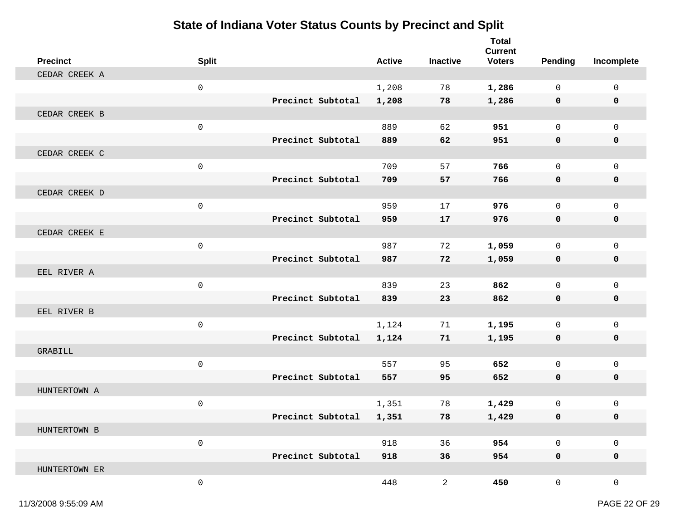| <b>Precinct</b> | <b>Split</b>        |                   | <b>Active</b> | <b>Inactive</b> | <b>Total</b><br><b>Current</b><br><b>Voters</b> | Pending             | Incomplete          |
|-----------------|---------------------|-------------------|---------------|-----------------|-------------------------------------------------|---------------------|---------------------|
| CEDAR CREEK A   |                     |                   |               |                 |                                                 |                     |                     |
|                 | $\mathsf{O}$        |                   | 1,208         | 78              | 1,286                                           | $\mathsf{O}$        | $\mathbf 0$         |
|                 |                     | Precinct Subtotal | 1,208         | 78              | 1,286                                           | 0                   | 0                   |
| CEDAR CREEK B   |                     |                   |               |                 |                                                 |                     |                     |
|                 | $\mathsf{O}$        |                   | 889           | 62              | 951                                             | $\mathbf{0}$        | $\mathbf 0$         |
|                 |                     | Precinct Subtotal | 889           | 62              | 951                                             | 0                   | 0                   |
| CEDAR CREEK C   |                     |                   |               |                 |                                                 |                     |                     |
|                 | $\mathbf 0$         |                   | 709           | 57              | 766                                             | $\mathbf 0$         | $\mathbf 0$         |
|                 |                     | Precinct Subtotal | 709           | 57              | 766                                             | 0                   | 0                   |
| CEDAR CREEK D   |                     |                   |               |                 |                                                 |                     |                     |
|                 | $\mathsf{O}$        |                   | 959           | 17              | 976                                             | $\mathsf{O}$        | $\mathsf 0$         |
|                 |                     | Precinct Subtotal | 959           | 17              | 976                                             | 0                   | 0                   |
| CEDAR CREEK E   |                     |                   |               |                 |                                                 |                     |                     |
|                 | $\mathbf 0$         |                   | 987           | 72              | 1,059                                           | $\mathbf 0$         | $\mathbf 0$         |
|                 |                     | Precinct Subtotal | 987           | 72              | 1,059                                           | 0                   | 0                   |
| EEL RIVER A     |                     |                   |               |                 |                                                 |                     |                     |
|                 | $\mathsf{O}$        |                   | 839           | 23              | 862                                             | $\mathbf 0$         | $\mathbf 0$         |
|                 |                     | Precinct Subtotal | 839           | 23              | 862                                             | 0                   | 0                   |
| EEL RIVER B     |                     |                   |               |                 |                                                 |                     |                     |
|                 | $\mathbf 0$         |                   | 1,124         | 71              | 1,195                                           | $\mathsf{O}$        | $\mathsf 0$         |
|                 |                     | Precinct Subtotal | 1,124         | 71              | 1,195                                           | 0                   | 0                   |
| GRABILL         |                     |                   |               |                 |                                                 |                     |                     |
|                 | $\mathbf 0$         |                   | 557           | 95              | 652                                             | $\mathbf 0$         | $\mathbf 0$         |
|                 |                     | Precinct Subtotal | 557           | 95              | 652                                             | 0                   | 0                   |
| HUNTERTOWN A    |                     |                   |               |                 |                                                 |                     |                     |
|                 | $\mathsf{O}\xspace$ |                   | 1,351         | 78              | 1,429                                           | 0                   | $\mathbf 0$         |
|                 |                     | Precinct Subtotal | 1,351         | 78              | 1,429                                           | 0                   | 0                   |
| HUNTERTOWN B    |                     |                   |               |                 |                                                 |                     |                     |
|                 | $\mathsf 0$         |                   | 918           | 36              | 954                                             | $\mathsf{O}\xspace$ | $\mathsf{O}\xspace$ |
|                 |                     | Precinct Subtotal | 918           | 36              | 954                                             | $\mathbf 0$         | $\mathbf 0$         |
| HUNTERTOWN ER   |                     |                   |               |                 |                                                 |                     |                     |
|                 | $\mathsf{O}\xspace$ |                   | 448           | $\overline{a}$  | 450                                             | $\mathsf{O}$        | $\mathsf{O}$        |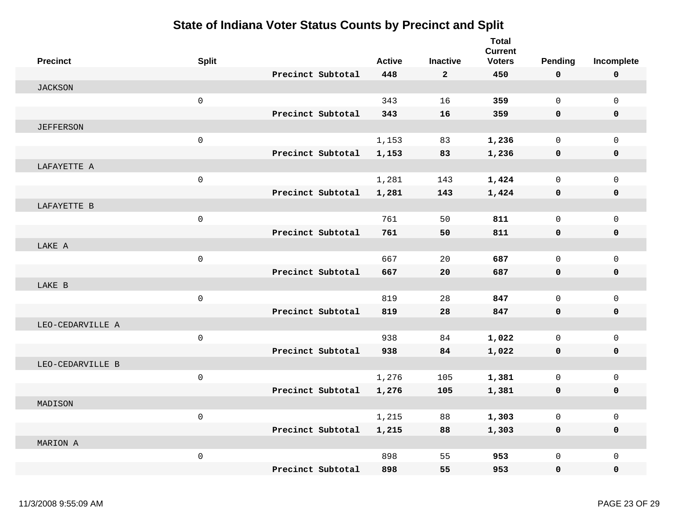| <b>Precinct</b>  | <b>Split</b>        |                   | <b>Active</b> | <b>Inactive</b> | <b>Total</b><br><b>Current</b><br><b>Voters</b> | Pending      | Incomplete          |
|------------------|---------------------|-------------------|---------------|-----------------|-------------------------------------------------|--------------|---------------------|
|                  |                     | Precinct Subtotal | 448           | $\mathbf{2}$    | 450                                             | 0            | $\pmb{0}$           |
| <b>JACKSON</b>   |                     |                   |               |                 |                                                 |              |                     |
|                  | $\mathsf{O}\xspace$ |                   | 343           | 16              | 359                                             | $\mathsf{O}$ | $\mathsf{O}\xspace$ |
|                  |                     | Precinct Subtotal | 343           | 16              | 359                                             | 0            | 0                   |
| <b>JEFFERSON</b> |                     |                   |               |                 |                                                 |              |                     |
|                  | $\mathbf 0$         |                   | 1,153         | 83              | 1,236                                           | 0            | $\mathbf 0$         |
|                  |                     | Precinct Subtotal | 1,153         | 83              | 1,236                                           | $\mathbf 0$  | 0                   |
| LAFAYETTE A      |                     |                   |               |                 |                                                 |              |                     |
|                  | $\mathsf{O}\xspace$ |                   | 1,281         | 143             | 1,424                                           | 0            | $\mathbf 0$         |
|                  |                     | Precinct Subtotal | 1,281         | 143             | 1,424                                           | 0            | 0                   |
| LAFAYETTE B      |                     |                   |               |                 |                                                 |              |                     |
|                  | $\mathsf{O}\xspace$ |                   | 761           | 50              | 811                                             | 0            | $\mathsf{O}\xspace$ |
|                  |                     | Precinct Subtotal | 761           | 50              | 811                                             | 0            | 0                   |
| LAKE A           |                     |                   |               |                 |                                                 |              |                     |
|                  | $\mathsf{O}\xspace$ |                   | 667           | 20              | 687                                             | 0            | $\mathsf{O}\xspace$ |
|                  |                     | Precinct Subtotal | 667           | 20              | 687                                             | 0            | 0                   |
| LAKE B           |                     |                   |               |                 |                                                 |              |                     |
|                  | $\mathsf{O}\xspace$ |                   | 819           | 28              | 847                                             | $\mathbf{0}$ | $\mathsf{O}\xspace$ |
|                  |                     | Precinct Subtotal | 819           | 28              | 847                                             | 0            | $\mathbf 0$         |
| LEO-CEDARVILLE A |                     |                   |               |                 |                                                 |              |                     |
|                  | $\mathbf 0$         |                   | 938           | 84              | 1,022                                           | $\mathbf{0}$ | $\mathbf 0$         |
|                  |                     | Precinct Subtotal | 938           | 84              | 1,022                                           | 0            | 0                   |
| LEO-CEDARVILLE B |                     |                   |               |                 |                                                 |              |                     |
|                  | $\mathsf{O}\xspace$ |                   | 1,276         | 105             | 1,381                                           | 0            | $\mathsf{O}$        |
|                  |                     | Precinct Subtotal | 1,276         | 105             | 1,381                                           | 0            | 0                   |
| MADISON          |                     |                   |               |                 |                                                 |              |                     |
|                  | $\mathsf 0$         |                   | 1,215         | 88              | 1,303                                           | $\mathbf{0}$ | $\mathsf{O}$        |
|                  |                     | Precinct Subtotal | 1,215         | 88              | 1,303                                           | 0            | $\mathbf 0$         |
| MARION A         |                     |                   |               |                 |                                                 |              |                     |
|                  | $\mathsf 0$         |                   | 898           | 55              | 953                                             | $\mathbf{0}$ | $\Omega$            |
|                  |                     | Precinct Subtotal | 898           | 55              | 953                                             | 0            | $\mathbf 0$         |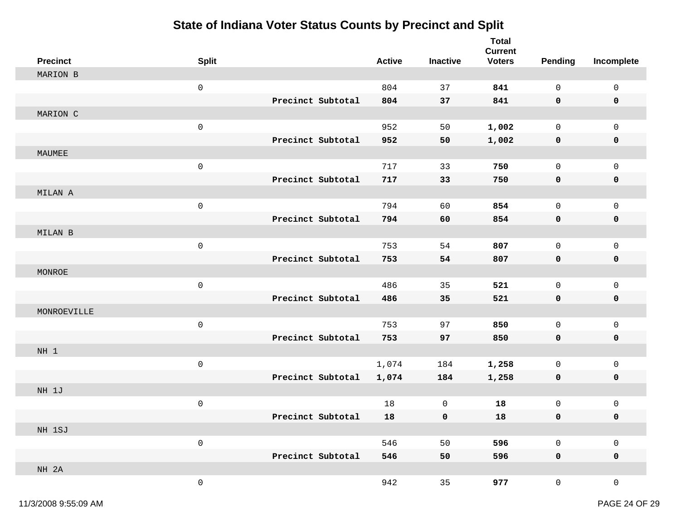| <b>Precinct</b> | <b>Split</b>        |                   | <b>Active</b> | <b>Inactive</b> | <b>Total</b><br><b>Current</b><br><b>Voters</b> | <b>Pending</b>                     | Incomplete                         |
|-----------------|---------------------|-------------------|---------------|-----------------|-------------------------------------------------|------------------------------------|------------------------------------|
| MARION B        |                     |                   |               |                 |                                                 |                                    |                                    |
|                 | $\mathsf{O}\xspace$ |                   | 804           | 37              | 841                                             | $\mathsf{O}\xspace$                | $\mathsf{O}$                       |
|                 |                     | Precinct Subtotal | 804           | 37              | 841                                             | 0                                  | 0                                  |
| MARION C        |                     |                   |               |                 |                                                 |                                    |                                    |
|                 | $\mathsf{O}\xspace$ |                   | 952           | 50              | 1,002                                           | $\mathsf{O}$                       | $\mathsf 0$                        |
|                 |                     | Precinct Subtotal | 952           | 50              | 1,002                                           | 0                                  | 0                                  |
| MAUMEE          |                     |                   |               |                 |                                                 |                                    |                                    |
|                 | $\mathbb O$         |                   | 717           | 33              | 750                                             | $\mathsf{O}$                       | $\mathsf 0$                        |
|                 |                     | Precinct Subtotal | 717           | 33              | 750                                             | $\mathbf 0$                        | 0                                  |
| MILAN A         |                     |                   |               |                 |                                                 |                                    |                                    |
|                 | $\mathsf{O}\xspace$ |                   | 794           | 60              | 854                                             | $\mathsf{O}$                       | $\mathsf 0$                        |
|                 |                     | Precinct Subtotal | 794           | 60              | 854                                             | 0                                  | 0                                  |
| MILAN B         |                     |                   |               |                 |                                                 |                                    |                                    |
|                 | $\mathsf{O}\xspace$ |                   | 753           | 54              | 807                                             | $\mathsf{O}$                       | $\mathsf 0$                        |
|                 |                     | Precinct Subtotal | 753           | 54              | 807                                             | 0                                  | 0                                  |
| MONROE          |                     |                   |               |                 |                                                 |                                    |                                    |
|                 | $\mathsf{O}\xspace$ |                   | 486           | 35              | 521                                             | $\mathsf{O}$                       | $\mathbf 0$                        |
|                 |                     | Precinct Subtotal | 486           | 35              | 521                                             | $\mathbf 0$                        | 0                                  |
| MONROEVILLE     |                     |                   |               |                 |                                                 |                                    |                                    |
|                 | $\mathsf{O}\xspace$ |                   | 753           | 97              | 850                                             | $\mathsf{O}\xspace$                | $\mathsf 0$                        |
|                 |                     | Precinct Subtotal | 753           | 97              | 850                                             | 0                                  | 0                                  |
| NH 1            |                     |                   |               |                 |                                                 |                                    |                                    |
|                 | $\mathsf{O}\xspace$ |                   | 1,074         | 184             | 1,258                                           | $\mathsf{O}$                       | $\mathsf 0$                        |
|                 |                     | Precinct Subtotal | 1,074         | 184             | 1,258                                           | 0                                  | 0                                  |
| NH 1J           |                     |                   |               |                 |                                                 |                                    |                                    |
|                 | $\mathbb O$         |                   | 18            | 0               | 18                                              | 0                                  | 0                                  |
|                 |                     | Precinct Subtotal | 18            | 0               | 18                                              | 0                                  | 0                                  |
| NH 1SJ          |                     |                   |               |                 |                                                 |                                    |                                    |
|                 | $\mathsf{O}\xspace$ | Precinct Subtotal | 546<br>546    | 50<br>50        | 596<br>596                                      | $\mathsf{O}\xspace$<br>$\mathbf 0$ | $\mathsf{O}\xspace$<br>$\mathbf 0$ |
| NH 2A           |                     |                   |               |                 |                                                 |                                    |                                    |
|                 | $\mathsf{O}\xspace$ |                   | 942           | 35              | 977                                             | $\mathsf{O}$                       | $\mathsf{O}\xspace$                |
|                 |                     |                   |               |                 |                                                 |                                    |                                    |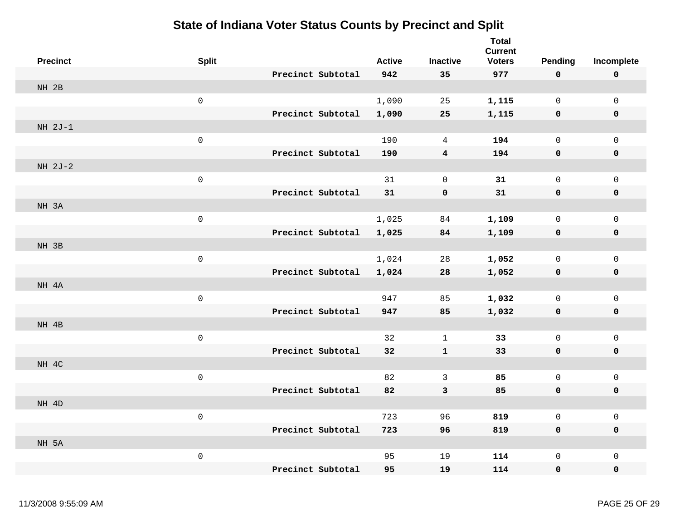| <b>Precinct</b> | <b>Split</b>        |                   | <b>Active</b> | <b>Inactive</b>         | <b>Total</b><br><b>Current</b><br><b>Voters</b> | <b>Pending</b>      | Incomplete          |
|-----------------|---------------------|-------------------|---------------|-------------------------|-------------------------------------------------|---------------------|---------------------|
|                 |                     | Precinct Subtotal | 942           | 35                      | 977                                             | $\mathbf 0$         | $\mathbf 0$         |
| NH 2B           |                     |                   |               |                         |                                                 |                     |                     |
|                 | $\mathsf 0$         |                   | 1,090         | 25                      | 1,115                                           | $\mathsf{O}\xspace$ | $\mathsf{O}\xspace$ |
|                 |                     | Precinct Subtotal | 1,090         | 25                      | 1,115                                           | 0                   | 0                   |
| $NH 2J-1$       |                     |                   |               |                         |                                                 |                     |                     |
|                 | $\mathsf{O}\xspace$ |                   | 190           | $\overline{4}$          | 194                                             | $\mathbf 0$         | $\mathsf{O}$        |
|                 |                     | Precinct Subtotal | 190           | $\overline{\mathbf{4}}$ | 194                                             | $\mathbf 0$         | $\pmb{0}$           |
| $NH 2J-2$       |                     |                   |               |                         |                                                 |                     |                     |
|                 | $\mathsf{O}\xspace$ |                   | 31            | $\mathbf 0$             | 31                                              | $\mathsf{O}$        | $\mathsf{O}\xspace$ |
|                 |                     | Precinct Subtotal | 31            | 0                       | 31                                              | 0                   | 0                   |
| NH 3A           |                     |                   |               |                         |                                                 |                     |                     |
|                 | $\mathsf 0$         |                   | 1,025         | 84                      | 1,109                                           | 0                   | $\mathsf{O}\xspace$ |
|                 |                     | Precinct Subtotal | 1,025         | 84                      | 1,109                                           | 0                   | $\pmb{0}$           |
| NH 3B           |                     |                   |               |                         |                                                 |                     |                     |
|                 | $\mathsf{O}\xspace$ |                   | 1,024         | 28                      | 1,052                                           | $\mathsf{O}\xspace$ | $\mathsf{O}\xspace$ |
|                 |                     | Precinct Subtotal | 1,024         | 28                      | 1,052                                           | 0                   | 0                   |
| NH 4A           |                     |                   |               |                         |                                                 |                     |                     |
|                 | $\mathsf 0$         |                   | 947           | 85                      | 1,032                                           | $\mathsf{O}\xspace$ | $\mathsf{O}\xspace$ |
|                 |                     | Precinct Subtotal | 947           | 85                      | 1,032                                           | $\mathbf 0$         | $\pmb{0}$           |
| NH 4B           |                     |                   |               |                         |                                                 |                     |                     |
|                 | $\mathsf 0$         |                   | 32            | $\mathbf{1}$            | 33                                              | $\mathsf{O}$        | $\mathsf{O}\xspace$ |
|                 |                     | Precinct Subtotal | 32            | $\mathbf 1$             | 33                                              | 0                   | 0                   |
| NH 4C           |                     |                   |               |                         |                                                 |                     |                     |
|                 | $\mathsf 0$         |                   | 82            | $\mathbf{3}$            | 85                                              | $\mathsf{O}$        | $\mathsf{O}\xspace$ |
|                 |                     | Precinct Subtotal | 82            | $\mathbf{3}$            | 85                                              | 0                   | 0                   |
| NH 4D           |                     |                   |               |                         |                                                 |                     |                     |
|                 | $\mathsf 0$         |                   | 723           | 96                      | 819                                             | $\mathsf{O}\xspace$ | $\mathsf{O}\xspace$ |
|                 |                     | Precinct Subtotal | 723           | 96                      | 819                                             | $\mathbf 0$         | $\pmb{0}$           |
| NH 5A           |                     |                   |               |                         |                                                 |                     |                     |
|                 | $\mathsf{O}\xspace$ |                   | 95            | 19                      | 114                                             | $\mathsf{O}\xspace$ | $\mathsf{O}\xspace$ |
|                 |                     | Precinct Subtotal | 95            | 19                      | 114                                             | $\mathbf 0$         | 0                   |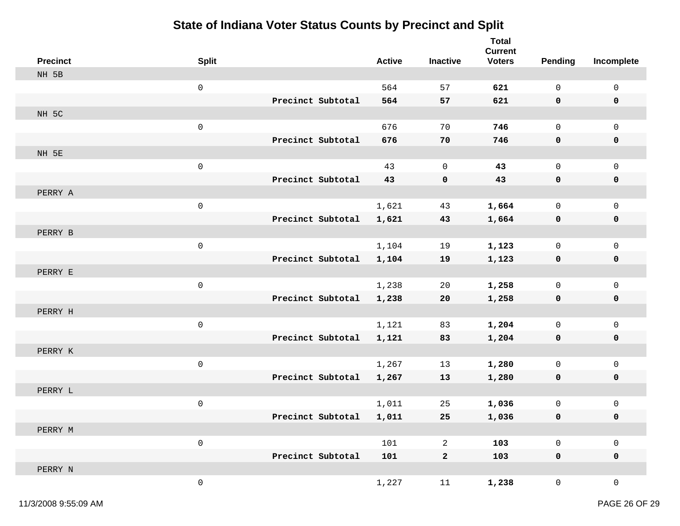| <b>Precinct</b> | <b>Split</b>        |                   | <b>Active</b> | <b>Inactive</b> | <b>Total</b><br><b>Current</b><br><b>Voters</b> | <b>Pending</b>      | Incomplete          |
|-----------------|---------------------|-------------------|---------------|-----------------|-------------------------------------------------|---------------------|---------------------|
| NH 5B           |                     |                   |               |                 |                                                 |                     |                     |
|                 | $\mathsf{O}\xspace$ |                   | 564           | 57              | 621                                             | $\mathsf{O}$        | $\mathsf{O}$        |
|                 |                     | Precinct Subtotal | 564           | 57              | 621                                             | 0                   | 0                   |
| NH 5C           |                     |                   |               |                 |                                                 |                     |                     |
|                 | $\mathsf{O}\xspace$ |                   | 676           | 70              | 746                                             | $\mathsf{O}$        | $\mathsf{O}$        |
|                 |                     | Precinct Subtotal | 676           | 70              | 746                                             | 0                   | 0                   |
| NH 5E           |                     |                   |               |                 |                                                 |                     |                     |
|                 | $\mathbf 0$         |                   | 43            | $\mathbf 0$     | 43                                              | $\mathbf 0$         | $\mathsf 0$         |
|                 |                     | Precinct Subtotal | 43            | 0               | 43                                              | 0                   | 0                   |
| PERRY A         |                     |                   |               |                 |                                                 |                     |                     |
|                 | $\mathsf{O}\xspace$ |                   | 1,621         | 43              | 1,664                                           | $\mathsf{O}\xspace$ | $\mathsf 0$         |
|                 |                     | Precinct Subtotal | 1,621         | 43              | 1,664                                           | 0                   | 0                   |
| PERRY B         |                     |                   |               |                 |                                                 |                     |                     |
|                 | $\mathsf{O}\xspace$ |                   | 1,104         | 19              | 1,123                                           | 0                   | $\mathsf 0$         |
|                 |                     | Precinct Subtotal | 1,104         | 19              | 1,123                                           | 0                   | 0                   |
| PERRY E         |                     |                   |               |                 |                                                 |                     |                     |
|                 | $\mathsf{O}\xspace$ |                   | 1,238         | 20              | 1,258                                           | 0                   | $\mathbf 0$         |
|                 |                     | Precinct Subtotal | 1,238         | 20              | 1,258                                           | 0                   | 0                   |
| PERRY H         |                     |                   |               |                 |                                                 |                     |                     |
|                 | $\mathsf{O}\xspace$ |                   | 1,121         | 83              | 1,204                                           | $\mathsf{O}$        | $\mathsf 0$         |
|                 |                     | Precinct Subtotal | 1,121         | 83              | 1,204                                           | 0                   | 0                   |
| PERRY K         |                     |                   |               |                 |                                                 |                     |                     |
|                 | $\mathsf{O}\xspace$ |                   | 1,267         | 13              | 1,280                                           | $\mathbf 0$         | $\mathsf 0$         |
|                 |                     | Precinct Subtotal | 1,267         | 13              | 1,280                                           | 0                   | 0                   |
| PERRY L         |                     |                   |               |                 |                                                 |                     |                     |
|                 | $\mathsf{O}\xspace$ |                   | 1,011         | 25              | 1,036                                           | 0                   | 0                   |
|                 |                     | Precinct Subtotal | 1,011         | 25              | 1,036                                           | 0                   | 0                   |
| PERRY M         |                     |                   |               |                 |                                                 |                     |                     |
|                 | $\mathsf{O}\xspace$ |                   | 101           | $\overline{a}$  | 103                                             | $\mathsf{O}\xspace$ | $\mathsf{O}\xspace$ |
|                 |                     | Precinct Subtotal | 101           | $\mathbf{2}$    | 103                                             | $\mathbf 0$         | $\mathbf 0$         |
| PERRY N         |                     |                   |               |                 |                                                 |                     |                     |
|                 | $\mathsf{O}\xspace$ |                   | 1,227         | 11              | 1,238                                           | $\mathsf{O}$        | $\mathsf{O}\xspace$ |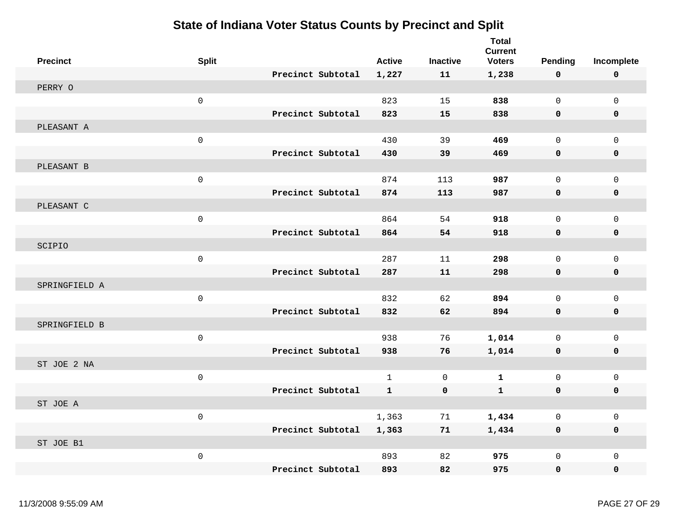| <b>Precinct</b> | <b>Split</b>        |                   | <b>Active</b> | <b>Inactive</b> | <b>Total</b><br><b>Current</b><br><b>Voters</b> | <b>Pending</b> | Incomplete          |
|-----------------|---------------------|-------------------|---------------|-----------------|-------------------------------------------------|----------------|---------------------|
|                 |                     | Precinct Subtotal | 1,227         | 11              | 1,238                                           | 0              | $\mathbf 0$         |
| PERRY O         |                     |                   |               |                 |                                                 |                |                     |
|                 | $\mathsf 0$         |                   | 823           | 15              | 838                                             | $\mathsf{O}$   | $\mathsf{O}\xspace$ |
|                 |                     | Precinct Subtotal | 823           | 15              | 838                                             | 0              | $\mathbf 0$         |
| PLEASANT A      |                     |                   |               |                 |                                                 |                |                     |
|                 | $\mathbf 0$         |                   | 430           | 39              | 469                                             | $\mathbf 0$    | $\mathsf{O}\xspace$ |
|                 |                     | Precinct Subtotal | 430           | 39              | 469                                             | 0              | $\mathbf 0$         |
| PLEASANT B      |                     |                   |               |                 |                                                 |                |                     |
|                 | $\mathsf 0$         |                   | 874           | 113             | 987                                             | $\mathsf{O}$   | $\mathbf 0$         |
|                 |                     | Precinct Subtotal | 874           | 113             | 987                                             | 0              | 0                   |
| PLEASANT C      |                     |                   |               |                 |                                                 |                |                     |
|                 | 0                   |                   | 864           | 54              | 918                                             | $\mathbf 0$    | $\mathbf 0$         |
|                 |                     | Precinct Subtotal | 864           | 54              | 918                                             | 0              | 0                   |
| SCIPIO          |                     |                   |               |                 |                                                 |                |                     |
|                 | $\mathsf{O}\xspace$ |                   | 287           | 11              | 298                                             | 0              | $\mathsf{O}\xspace$ |
|                 |                     | Precinct Subtotal | 287           | 11              | 298                                             | 0              | 0                   |
| SPRINGFIELD A   |                     |                   |               |                 |                                                 |                |                     |
|                 | $\mathbf 0$         |                   | 832           | 62              | 894                                             | $\mathbf 0$    | $\mathbf 0$         |
|                 |                     | Precinct Subtotal | 832           | 62              | 894                                             | $\mathbf 0$    | $\mathbf 0$         |
| SPRINGFIELD B   |                     |                   |               |                 |                                                 |                |                     |
|                 | $\mathbf 0$         |                   | 938           | 76              | 1,014                                           | $\mathbf 0$    | $\mathbf 0$         |
|                 |                     | Precinct Subtotal | 938           | 76              | 1,014                                           | 0              | $\mathbf 0$         |
| ST JOE 2 NA     |                     |                   |               |                 |                                                 |                |                     |
|                 | $\mathsf 0$         |                   | $\mathbf{1}$  | 0               | $\mathbf{1}$                                    | $\mathbf 0$    | $\mathbf{0}$        |
|                 |                     | Precinct Subtotal | $\mathbf{1}$  | $\mathbf 0$     | $\mathbf{1}$                                    | $\mathbf 0$    | $\mathbf 0$         |
| ST JOE A        |                     |                   |               |                 |                                                 |                |                     |
|                 | $\mathbf 0$         |                   | 1,363         | 71              | 1,434                                           | 0              | $\mathsf{O}\xspace$ |
|                 |                     | Precinct Subtotal | 1,363         | 71              | 1,434                                           | $\mathbf 0$    | $\mathbf 0$         |
| ST JOE B1       |                     |                   |               |                 |                                                 |                |                     |
|                 | $\mathsf 0$         |                   | 893           | 82              | 975                                             | $\mathbf 0$    | $\mathbf{0}$        |
|                 |                     | Precinct Subtotal | 893           | 82              | 975                                             | 0              | $\mathbf 0$         |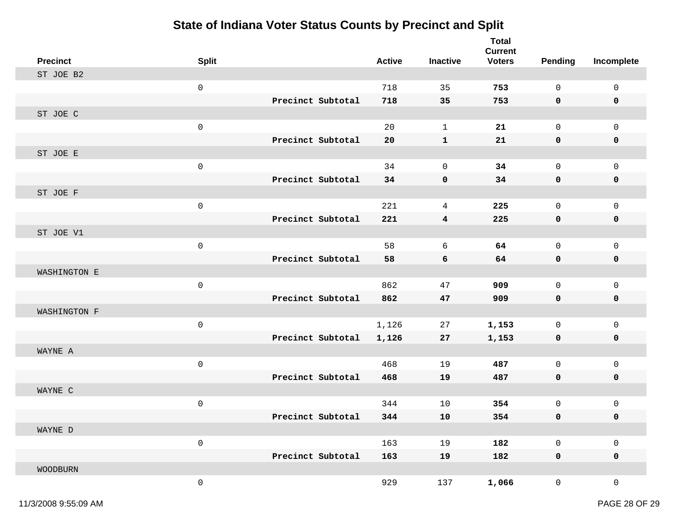| <b>Precinct</b> | <b>Split</b>        |                   | <b>Active</b> | <b>Inactive</b> | <b>Total</b><br><b>Current</b><br><b>Voters</b> | <b>Pending</b>      | Incomplete          |
|-----------------|---------------------|-------------------|---------------|-----------------|-------------------------------------------------|---------------------|---------------------|
| ST JOE B2       |                     |                   |               |                 |                                                 |                     |                     |
|                 | $\mathsf 0$         |                   | 718           | 35              | 753                                             | $\mathbf 0$         | $\mathsf{O}\xspace$ |
|                 |                     | Precinct Subtotal | 718           | 35              | 753                                             | 0                   | 0                   |
| ST JOE C        |                     |                   |               |                 |                                                 |                     |                     |
|                 | $\mathsf{O}\xspace$ |                   | 20            | $\mathbf{1}$    | 21                                              | $\mathsf{O}$        | $\mathsf{O}$        |
|                 |                     | Precinct Subtotal | 20            | $\mathbf 1$     | 21                                              | 0                   | 0                   |
| ST JOE E        |                     |                   |               |                 |                                                 |                     |                     |
|                 | $\mathbf 0$         |                   | 34            | 0               | 34                                              | $\mathbf 0$         | 0                   |
|                 |                     | Precinct Subtotal | 34            | 0               | 34                                              | 0                   | 0                   |
| ST JOE F        |                     |                   |               |                 |                                                 |                     |                     |
|                 | $\mathsf 0$         |                   | 221           | 4               | 225                                             | $\mathbf 0$         | $\mathsf{O}\xspace$ |
|                 |                     | Precinct Subtotal | 221           | 4               | 225                                             | 0                   | 0                   |
| ST JOE V1       |                     |                   |               |                 |                                                 |                     |                     |
|                 | $\mathsf 0$         |                   | 58            | 6               | 64                                              | $\mathbf 0$         | $\mathsf{O}$        |
|                 |                     | Precinct Subtotal | 58            | 6               | 64                                              | 0                   | 0                   |
| WASHINGTON E    |                     |                   |               |                 |                                                 |                     |                     |
|                 | $\mathbf 0$         |                   | 862           | 47              | 909                                             | $\mathbf 0$         | 0                   |
|                 |                     | Precinct Subtotal | 862           | 47              | 909                                             | 0                   | 0                   |
| WASHINGTON F    |                     |                   |               |                 |                                                 |                     |                     |
|                 | $\mathsf 0$         |                   | 1,126         | 27              | 1,153                                           | $\mathbf 0$         | $\mathsf 0$         |
|                 |                     | Precinct Subtotal | 1,126         | 27              | 1,153                                           | 0                   | 0                   |
| WAYNE A         |                     |                   |               |                 |                                                 |                     |                     |
|                 | $\mathsf 0$         | Precinct Subtotal | 468           | 19              | 487                                             | 0                   | $\mathsf 0$         |
| WAYNE C         |                     |                   | 468           | 19              | 487                                             | 0                   | 0                   |
|                 | $\mathsf 0$         |                   | 344           | 10              | 354                                             | $\mathbf 0$         | 0                   |
|                 |                     | Precinct Subtotal | 344           | 10              | 354                                             | 0                   | 0                   |
| WAYNE D         |                     |                   |               |                 |                                                 |                     |                     |
|                 | $\mathsf{O}\xspace$ |                   | 163           | 19              | 182                                             | $\mathsf{O}\xspace$ | $\mathsf{O}\xspace$ |
|                 |                     | Precinct Subtotal | 163           | 19              | 182                                             | $\mathbf 0$         | 0                   |
| WOODBURN        |                     |                   |               |                 |                                                 |                     |                     |
|                 | $\mathsf{O}\xspace$ |                   | 929           | 137             | 1,066                                           | $\mathsf{O}\xspace$ | $\mathsf{O}\xspace$ |
|                 |                     |                   |               |                 |                                                 |                     |                     |